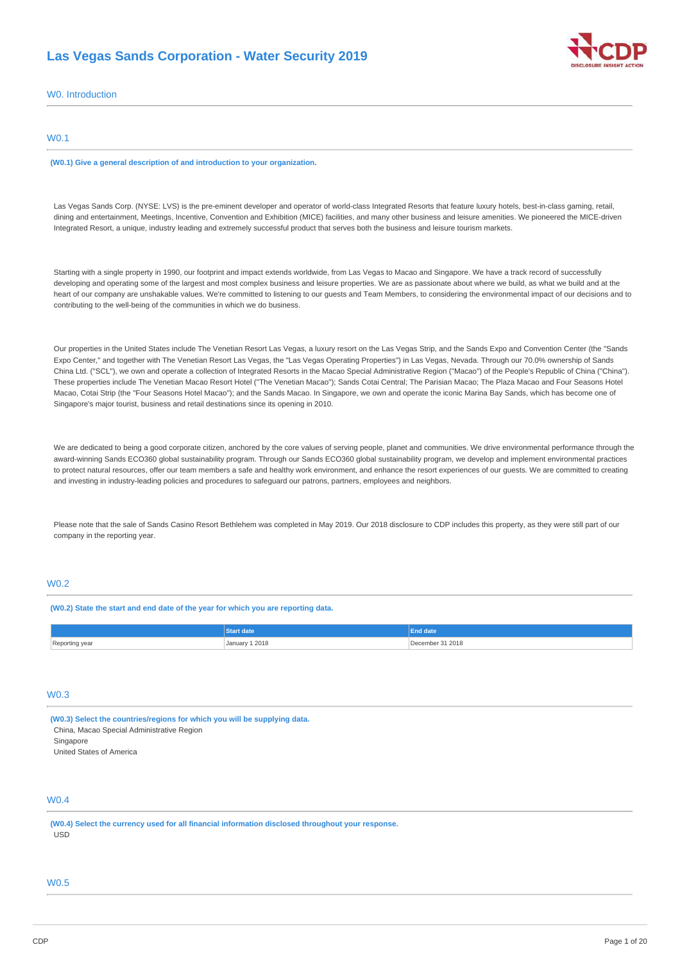# **Las Vegas Sands Corporation - Water Security 2019**



W0. Introduction

### W0.1

**(W0.1) Give a general description of and introduction to your organization.**

Las Vegas Sands Corp. (NYSE: LVS) is the pre-eminent developer and operator of world-class Integrated Resorts that feature luxury hotels, best-in-class gaming, retail, dining and entertainment, Meetings, Incentive, Convention and Exhibition (MICE) facilities, and many other business and leisure amenities. We pioneered the MICE-driven Integrated Resort, a unique, industry leading and extremely successful product that serves both the business and leisure tourism markets.

Starting with a single property in 1990, our footprint and impact extends worldwide, from Las Vegas to Macao and Singapore. We have a track record of successfully developing and operating some of the largest and most complex business and leisure properties. We are as passionate about where we build, as what we build and at the heart of our company are unshakable values. We're committed to listening to our guests and Team Members, to considering the environmental impact of our decisions and to contributing to the well-being of the communities in which we do business.

Our properties in the United States include The Venetian Resort Las Vegas, a luxury resort on the Las Vegas Strip, and the Sands Expo and Convention Center (the "Sands Expo Center," and together with The Venetian Resort Las Vegas, the "Las Vegas Operating Properties") in Las Vegas, Nevada. Through our 70.0% ownership of Sands China Ltd. ("SCL"), we own and operate a collection of Integrated Resorts in the Macao Special Administrative Region ("Macao") of the People's Republic of China ("China"). These properties include The Venetian Macao Resort Hotel ("The Venetian Macao"); Sands Cotai Central; The Parisian Macao; The Plaza Macao and Four Seasons Hotel Macao, Cotai Strip (the "Four Seasons Hotel Macao"); and the Sands Macao. In Singapore, we own and operate the iconic Marina Bay Sands, which has become one of Singapore's major tourist, business and retail destinations since its opening in 2010.

We are dedicated to being a good corporate citizen, anchored by the core values of serving people, planet and communities. We drive environmental performance through the award-winning Sands ECO360 global sustainability program. Through our Sands ECO360 global sustainability program, we develop and implement environmental practices to protect natural resources, offer our team members a safe and healthy work environment, and enhance the resort experiences of our guests. We are committed to creating and investing in industry-leading policies and procedures to safeguard our patrons, partners, employees and neighbors.

Please note that the sale of Sands Casino Resort Bethlehem was completed in May 2019. Our 2018 disclosure to CDP includes this property, as they were still part of our company in the reporting year.

## W0.2

**(W0.2) State the start and end date of the year for which you are reporting data.**

|                     |                | date             |
|---------------------|----------------|------------------|
| Reporting year<br>ິ | January 1 2018 | December 31 2018 |

# W0.3

**(W0.3) Select the countries/regions for which you will be supplying data.** China, Macao Special Administrative Region

Singapore

United States of America

# W0.4

**(W0.4) Select the currency used for all financial information disclosed throughout your response.** USD

## W0.5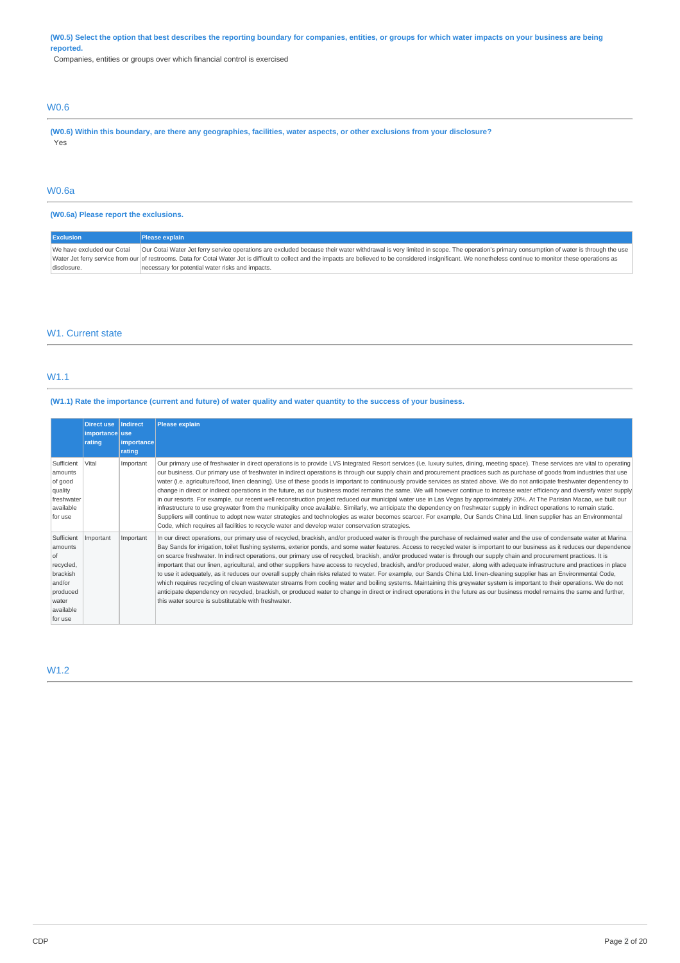(W0.5) Select the option that best describes the reporting boundary for companies, entities, or groups for which water impacts on your business are being **reported.**

Companies, entities or groups over which financial control is exercised

# W0.6

(W0.6) Within this boundary, are there any geographies, facilities, water aspects, or other exclusions from your disclosure? Yes

# W0.6a

### **(W0.6a) Please report the exclusions.**

| <b>Exclusion</b>           | Please explain                                                                                                                                                                                                      |
|----------------------------|---------------------------------------------------------------------------------------------------------------------------------------------------------------------------------------------------------------------|
| We have excluded our Cotai | Our Cotai Water Jet ferry service operations are excluded because their water withdrawal is very limited in scope. The operation's primary consumption of water is through the use                                  |
|                            | Water Jet ferry service from our of restrooms. Data for Cotai Water Jet is difficult to collect and the impacts are believed to be considered insignificant. We nonetheless continue to monitor these operations as |
| disclosure.                | necessary for potential water risks and impacts.                                                                                                                                                                    |

### W1. Current state

## W1.1

#### (W1.1) Rate the importance (current and future) of water quality and water quantity to the success of your business.

|                                                                                                             | <b>Direct use</b><br>importance use<br>rating | Indirect<br><i>importance</i><br>rating | <b>Please explain</b>                                                                                                                                                                                                                                                                                                                                                                                                                                                                                                                                                                                                                                                                                                                                                                                                                                                                                                                                                                                                                                                                                                                                                                                                                                                                                                                                                            |
|-------------------------------------------------------------------------------------------------------------|-----------------------------------------------|-----------------------------------------|----------------------------------------------------------------------------------------------------------------------------------------------------------------------------------------------------------------------------------------------------------------------------------------------------------------------------------------------------------------------------------------------------------------------------------------------------------------------------------------------------------------------------------------------------------------------------------------------------------------------------------------------------------------------------------------------------------------------------------------------------------------------------------------------------------------------------------------------------------------------------------------------------------------------------------------------------------------------------------------------------------------------------------------------------------------------------------------------------------------------------------------------------------------------------------------------------------------------------------------------------------------------------------------------------------------------------------------------------------------------------------|
| Sufficient<br>amounts<br>of good<br>quality<br>freshwater<br>available<br>for use                           | Vital                                         | Important                               | Our primary use of freshwater in direct operations is to provide LVS Integrated Resort services (i.e. luxury suites, dining, meeting space). These services are vital to operating<br>our business. Our primary use of freshwater in indirect operations is through our supply chain and procurement practices such as purchase of goods from industries that use<br>water (i.e. agriculture/food, linen cleaning). Use of these goods is important to continuously provide services as stated above. We do not anticipate freshwater dependency to<br>change in direct or indirect operations in the future, as our business model remains the same. We will however continue to increase water efficiency and diversify water supply<br>in our resorts. For example, our recent well reconstruction project reduced our municipal water use in Las Vegas by approximately 20%. At The Parisian Macao, we built our<br>infrastructure to use greywater from the municipality once available. Similarly, we anticipate the dependency on freshwater supply in indirect operations to remain static.<br>Suppliers will continue to adopt new water strategies and technologies as water becomes scarcer. For example, Our Sands China Ltd. linen supplier has an Environmental<br>Code, which requires all facilities to recycle water and develop water conservation strategies. |
| Sufficient<br>amounts<br>of<br>recycled,<br>brackish<br>and/or<br>produced<br>water<br>available<br>for use | Important                                     | Important                               | In our direct operations, our primary use of recycled, brackish, and/or produced water is through the purchase of reclaimed water and the use of condensate water at Marina<br>Bay Sands for irrigation, toilet flushing systems, exterior ponds, and some water features. Access to recycled water is important to our business as it reduces our dependence<br>on scarce freshwater. In indirect operations, our primary use of recycled, brackish, and/or produced water is through our supply chain and procurement practices. It is<br>important that our linen, agricultural, and other suppliers have access to recycled, brackish, and/or produced water, along with adequate infrastructure and practices in place<br>to use it adequately, as it reduces our overall supply chain risks related to water. For example, our Sands China Ltd. linen-cleaning supplier has an Environmental Code,<br>which requires recycling of clean wastewater streams from cooling water and boiling systems. Maintaining this greywater system is important to their operations. We do not<br>anticipate dependency on recycled, brackish, or produced water to change in direct or indirect operations in the future as our business model remains the same and further,<br>this water source is substitutable with freshwater.                                                     |

# W1.2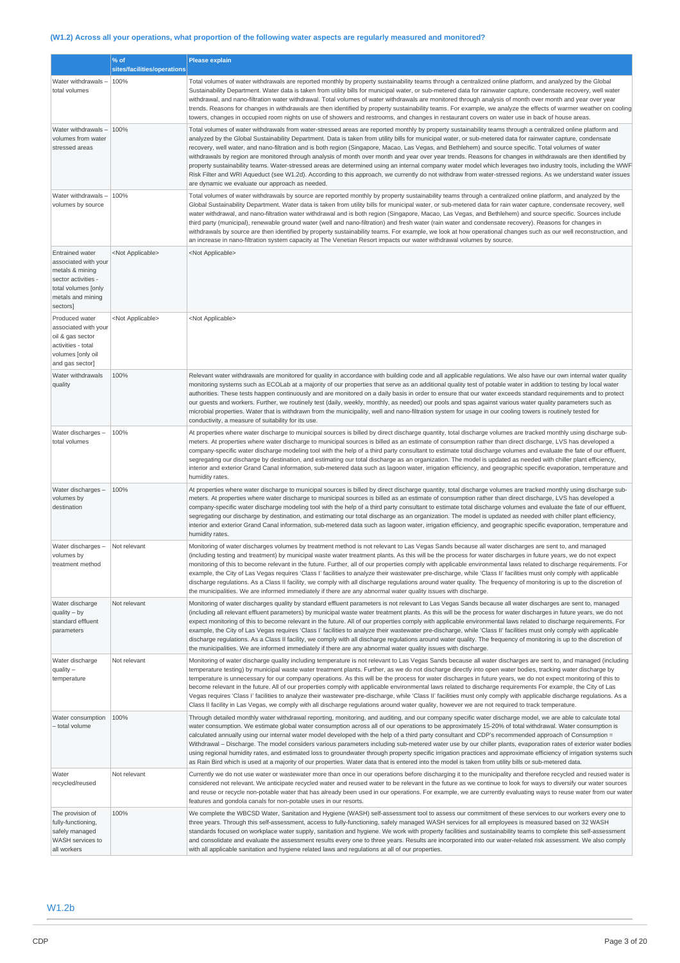# (W1.2) Across all your operations, what proportion of the following water aspects are regularly measured and monitored?

|                                                                                                                                                  | % of<br>sites/facilities/operations | Please explain                                                                                                                                                                                                                                                                                                                                                                                                                                                                                                                                                                                                                                                                                                                                                                                                                                                                                                                                                                                                                                |
|--------------------------------------------------------------------------------------------------------------------------------------------------|-------------------------------------|-----------------------------------------------------------------------------------------------------------------------------------------------------------------------------------------------------------------------------------------------------------------------------------------------------------------------------------------------------------------------------------------------------------------------------------------------------------------------------------------------------------------------------------------------------------------------------------------------------------------------------------------------------------------------------------------------------------------------------------------------------------------------------------------------------------------------------------------------------------------------------------------------------------------------------------------------------------------------------------------------------------------------------------------------|
| Water withdrawals-<br>total volumes                                                                                                              | 100%                                | Total volumes of water withdrawals are reported monthly by property sustainability teams through a centralized online platform, and analyzed by the Global<br>Sustainability Department. Water data is taken from utility bills for municipal water, or sub-metered data for rainwater capture, condensate recovery, well water<br>withdrawal, and nano-filtration water withdrawal. Total volumes of water withdrawals are monitored through analysis of month over month and year over year<br>trends. Reasons for changes in withdrawals are then identified by property sustainability teams. For example, we analyze the effects of warmer weather on cooling<br>towers, changes in occupied room nights on use of showers and restrooms, and changes in restaurant covers on water use in back of house areas.                                                                                                                                                                                                                          |
| Water withdrawals -<br>volumes from water<br>stressed areas                                                                                      | 100%                                | Total volumes of water withdrawals from water-stressed areas are reported monthly by property sustainability teams through a centralized online platform and<br>analyzed by the Global Sustainability Department. Data is taken from utility bills for municipal water, or sub-metered data for rainwater capture, condensate<br>recovery, well water, and nano-filtration and is both region (Singapore, Macao, Las Vegas, and Bethlehem) and source specific. Total volumes of water<br>withdrawals by region are monitored through analysis of month over month and year over year trends. Reasons for changes in withdrawals are then identified by<br>property sustainability teams. Water-stressed areas are determined using an internal company water model which leverages two industry tools, including the WWF<br>Risk Filter and WRI Aqueduct (see W1.2d). According to this approach, we currently do not withdraw from water-stressed regions. As we understand water issues<br>are dynamic we evaluate our approach as needed. |
| Water withdrawals-<br>volumes by source                                                                                                          | 100%                                | Total volumes of water withdrawals by source are reported monthly by property sustainability teams through a centralized online platform, and analyzed by the<br>Global Sustainability Department. Water data is taken from utility bills for municipal water, or sub-metered data for rain water capture, condensate recovery, well<br>water withdrawal, and nano-filtration water withdrawal and is both region (Singapore, Macao, Las Vegas, and Bethlehem) and source specific. Sources include<br>third party (municipal), renewable ground water (well and nano-filtration) and fresh water (rain water and condensate recovery). Reasons for changes in<br>withdrawals by source are then identified by property sustainability teams. For example, we look at how operational changes such as our well reconstruction, and<br>an increase in nano-filtration system capacity at The Venetian Resort impacts our water withdrawal volumes by source.                                                                                   |
| <b>Entrained water</b><br>associated with your<br>metals & mining<br>sector activities -<br>total volumes [only<br>metals and mining<br>sectors] | <not applicable=""></not>           | <not applicable=""></not>                                                                                                                                                                                                                                                                                                                                                                                                                                                                                                                                                                                                                                                                                                                                                                                                                                                                                                                                                                                                                     |
| Produced water<br>associated with your<br>oil & gas sector<br>activities - total<br>volumes [only oil<br>and gas sector]                         | <not applicable=""></not>           | <not applicable=""></not>                                                                                                                                                                                                                                                                                                                                                                                                                                                                                                                                                                                                                                                                                                                                                                                                                                                                                                                                                                                                                     |
| Water withdrawals<br>quality                                                                                                                     | 100%                                | Relevant water withdrawals are monitored for quality in accordance with building code and all applicable regulations. We also have our own internal water quality<br>monitoring systems such as ECOLab at a majority of our properties that serve as an additional quality test of potable water in addition to testing by local water<br>authorities. These tests happen continuously and are monitored on a daily basis in order to ensure that our water exceeds standard requirements and to protect<br>our guests and workers. Further, we routinely test (daily, weekly, monthly, as needed) our pools and spas against various water quality parameters such as<br>microbial properties. Water that is withdrawn from the municipality, well and nano-filtration system for usage in our cooling towers is routinely tested for<br>conductivity, a measure of suitability for its use.                                                                                                                                                 |
| Water discharges -<br>total volumes                                                                                                              | 100%                                | At properties where water discharge to municipal sources is billed by direct discharge quantity, total discharge volumes are tracked monthly using discharge sub-<br>meters. At properties where water discharge to municipal sources is billed as an estimate of consumption rather than direct discharge, LVS has developed a<br>company-specific water discharge modeling tool with the help of a third party consultant to estimate total discharge volumes and evaluate the fate of our effluent,<br>segregating our discharge by destination, and estimating our total discharge as an organization. The model is updated as needed with chiller plant efficiency,<br>interior and exterior Grand Canal information, sub-metered data such as lagoon water, irrigation efficiency, and geographic specific evaporation, temperature and<br>humidity rates.                                                                                                                                                                              |
| Water discharges -<br>volumes by<br>destination                                                                                                  | 100%                                | At properties where water discharge to municipal sources is billed by direct discharge quantity, total discharge volumes are tracked monthly using discharge sub-<br>meters. At properties where water discharge to municipal sources is billed as an estimate of consumption rather than direct discharge, LVS has developed a<br>company-specific water discharge modeling tool with the help of a third party consultant to estimate total discharge volumes and evaluate the fate of our effluent,<br>segregating our discharge by destination, and estimating our total discharge as an organization. The model is updated as needed with chiller plant efficiency,<br>interior and exterior Grand Canal information, sub-metered data such as lagoon water, irrigation efficiency, and geographic specific evaporation, temperature and<br>humidity rates.                                                                                                                                                                              |
| Water discharges -<br>volumes by<br>treatment method                                                                                             | Not relevant                        | Monitoring of water discharges volumes by treatment method is not relevant to Las Vegas Sands because all water discharges are sent to, and managed<br>(including testing and treatment) by municipal waste water treatment plants. As this will be the process for water discharges in future years, we do not expect<br>monitoring of this to become relevant in the future. Further, all of our properties comply with applicable environmental laws related to discharge requirements. For<br>example, the City of Las Vegas requires 'Class I' facilities to analyze their wastewater pre-discharge, while 'Class II' facilities must only comply with applicable<br>discharge regulations. As a Class II facility, we comply with all discharge regulations around water quality. The frequency of monitoring is up to the discretion of<br>the municipalities. We are informed immediately if there are any abnormal water quality issues with discharge.                                                                              |
| Water discharge<br>$quality - by$<br>standard effluent<br>parameters                                                                             | Not relevant                        | Monitoring of water discharges quality by standard effluent parameters is not relevant to Las Vegas Sands because all water discharges are sent to, managed<br>(including all relevant effluent parameters) by municipal waste water treatment plants. As this will be the process for water discharges in future years, we do not<br>expect monitoring of this to become relevant in the future. All of our properties comply with applicable environmental laws related to discharge requirements. For<br>example, the City of Las Vegas requires 'Class I' facilities to analyze their wastewater pre-discharge, while 'Class II' facilities must only comply with applicable<br>discharge regulations. As a Class II facility, we comply with all discharge regulations around water quality. The frequency of monitoring is up to the discretion of<br>the municipalities. We are informed immediately if there are any abnormal water quality issues with discharge.                                                                    |
| Water discharge<br>$quality -$<br>temperature                                                                                                    | Not relevant                        | Monitoring of water discharge quality including temperature is not relevant to Las Vegas Sands because all water discharges are sent to, and managed (including<br>temperature testing) by municipal waste water treatment plants. Further, as we do not discharge directly into open water bodies, tracking water discharge by<br>temperature is unnecessary for our company operations. As this will be the process for water discharges in future years, we do not expect monitoring of this to<br>become relevant in the future. All of our properties comply with applicable environmental laws related to discharge requirements For example, the City of Las<br>Vegas requires 'Class I' facilities to analyze their wastewater pre-discharge, while 'Class II' facilities must only comply with applicable discharge regulations. As a<br>Class II facility in Las Vegas, we comply with all discharge regulations around water quality, however we are not required to track temperature.                                            |
| Water consumption<br>- total volume                                                                                                              | 100%                                | Through detailed monthly water withdrawal reporting, monitoring, and auditing, and our company specific water discharge model, we are able to calculate total<br>water consumption. We estimate global water consumption across all of our operations to be approximately 15-20% of total withdrawal. Water consumption is<br>calculated annually using our internal water model developed with the help of a third party consultant and CDP's recommended approach of Consumption =<br>Withdrawal - Discharge. The model considers various parameters including sub-metered water use by our chiller plants, evaporation rates of exterior water bodies<br>using regional humidity rates, and estimated loss to groundwater through property specific irrigation practices and approximate efficiency of irrigation systems such<br>as Rain Bird which is used at a majority of our properties. Water data that is entered into the model is taken from utility bills or sub-metered data.                                                   |
| Water<br>recycled/reused                                                                                                                         | Not relevant                        | Currently we do not use water or wastewater more than once in our operations before discharging it to the municipality and therefore recycled and reused water is<br>considered not relevant. We anticipate recycled water and reused water to be relevant in the future as we continue to look for ways to diversify our water sources<br>and reuse or recycle non-potable water that has already been used in our operations. For example, we are currently evaluating ways to reuse water from our water<br>features and gondola canals for non-potable uses in our resorts.                                                                                                                                                                                                                                                                                                                                                                                                                                                               |
| The provision of<br>fully-functioning,<br>safely managed<br>WASH services to<br>all workers                                                      | 100%                                | We complete the WBCSD Water, Sanitation and Hygiene (WASH) self-assessment tool to assess our commitment of these services to our workers every one to<br>three years. Through this self-assessment, access to fully-functioning, safely managed WASH services for all employees is measured based on 32 WASH<br>standards focused on workplace water supply, sanitation and hygiene. We work with property facilities and sustainability teams to complete this self-assessment<br>and consolidate and evaluate the assessment results every one to three years. Results are incorporated into our water-related risk assessment. We also comply<br>with all applicable sanitation and hygiene related laws and regulations at all of our properties.                                                                                                                                                                                                                                                                                        |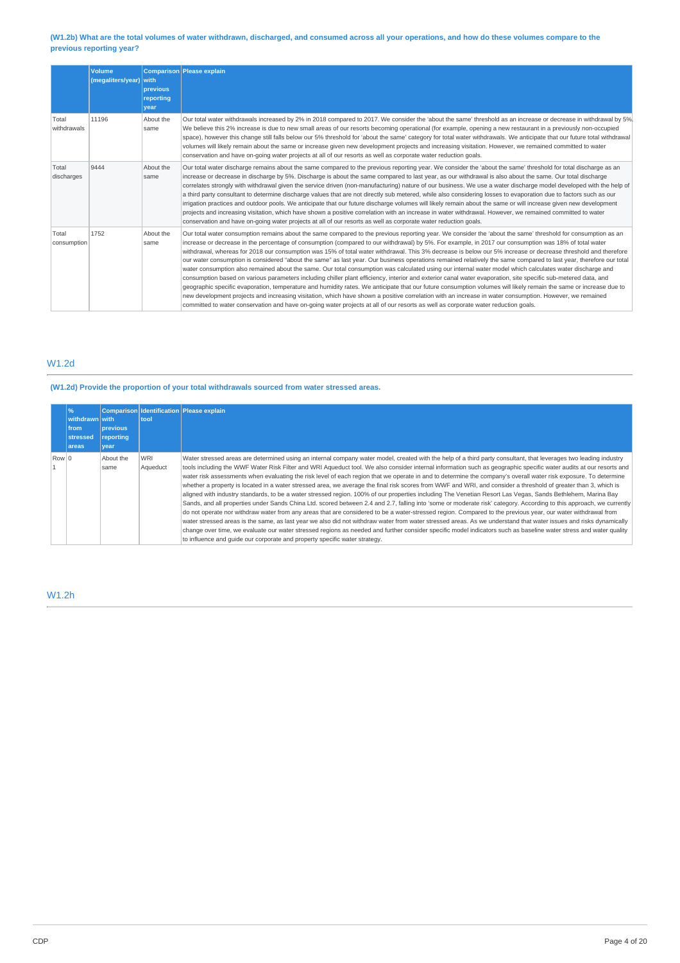### (W1.2b) What are the total volumes of water withdrawn, discharged, and consumed across all your operations, and how do these volumes compare to the **previous reporting year?**

|                      | <b>Volume</b><br>(megaliters/year) with | previous<br>reporting<br>vear | Comparison Please explain                                                                                                                                                                                                                                                                                                                                                                                                                                                                                                                                                                                                                                                                                                                                                                                                                                                                                                                                                                                                                                                                                                                                                                                                                                                                                                                                                                                                                                        |
|----------------------|-----------------------------------------|-------------------------------|------------------------------------------------------------------------------------------------------------------------------------------------------------------------------------------------------------------------------------------------------------------------------------------------------------------------------------------------------------------------------------------------------------------------------------------------------------------------------------------------------------------------------------------------------------------------------------------------------------------------------------------------------------------------------------------------------------------------------------------------------------------------------------------------------------------------------------------------------------------------------------------------------------------------------------------------------------------------------------------------------------------------------------------------------------------------------------------------------------------------------------------------------------------------------------------------------------------------------------------------------------------------------------------------------------------------------------------------------------------------------------------------------------------------------------------------------------------|
| Total<br>withdrawals | 11196                                   | About the<br>same             | Our total water withdrawals increased by 2% in 2018 compared to 2017. We consider the 'about the same' threshold as an increase or decrease in withdrawal by 5%<br>We believe this 2% increase is due to new small areas of our resorts becoming operational (for example, opening a new restaurant in a previously non-occupied<br>space), however this change still falls below our 5% threshold for 'about the same' category for total water withdrawals. We anticipate that our future total withdrawal<br>volumes will likely remain about the same or increase given new development projects and increasing visitation. However, we remained committed to water<br>conservation and have on-going water projects at all of our resorts as well as corporate water reduction goals.                                                                                                                                                                                                                                                                                                                                                                                                                                                                                                                                                                                                                                                                       |
| Total<br>discharges  | 9444                                    | About the<br>same             | Our total water discharge remains about the same compared to the previous reporting year. We consider the 'about the same' threshold for total discharge as an<br>increase or decrease in discharge by 5%. Discharge is about the same compared to last year, as our withdrawal is also about the same. Our total discharge<br>correlates strongly with withdrawal given the service driven (non-manufacturing) nature of our business. We use a water discharge model developed with the help of<br>a third party consultant to determine discharge values that are not directly sub metered, while also considering losses to evaporation due to factors such as our<br>irrigation practices and outdoor pools. We anticipate that our future discharge volumes will likely remain about the same or will increase given new development<br>projects and increasing visitation, which have shown a positive correlation with an increase in water withdrawal. However, we remained committed to water<br>conservation and have on-going water projects at all of our resorts as well as corporate water reduction goals.                                                                                                                                                                                                                                                                                                                                       |
| Total<br>consumption | 1752                                    | About the<br>same             | Our total water consumption remains about the same compared to the previous reporting year. We consider the 'about the same' threshold for consumption as an<br>increase or decrease in the percentage of consumption (compared to our withdrawal) by 5%. For example, in 2017 our consumption was 18% of total water<br>withdrawal, whereas for 2018 our consumption was 15% of total water withdrawal. This 3% decrease is below our 5% increase or decrease threshold and therefore<br>our water consumption is considered "about the same" as last year. Our business operations remained relatively the same compared to last year, therefore our total<br>water consumption also remained about the same. Our total consumption was calculated using our internal water model which calculates water discharge and<br>consumption based on various parameters including chiller plant efficiency, interior and exterior canal water evaporation, site specific sub-metered data, and<br>geographic specific evaporation, temperature and humidity rates. We anticipate that our future consumption volumes will likely remain the same or increase due to<br>new development projects and increasing visitation, which have shown a positive correlation with an increase in water consumption. However, we remained<br>committed to water conservation and have on-going water projects at all of our resorts as well as corporate water reduction goals. |

# W1.2d

# **(W1.2d) Provide the proportion of your total withdrawals sourced from water stressed areas.**

|       | %<br>withdrawn with<br>from<br>stressed<br>areas | <b>previous</b><br>reporting<br>vear | tool                   | Comparison Identification Please explain                                                                                                                                                                                                                                                                                                                                                                                                                                                                                                                                                                                                                                                                                                                                                                                                                                                                                                                                                                                                                                                                                                                                                                                                                                                                                                                                                                                                                                                                                                                                                                      |
|-------|--------------------------------------------------|--------------------------------------|------------------------|---------------------------------------------------------------------------------------------------------------------------------------------------------------------------------------------------------------------------------------------------------------------------------------------------------------------------------------------------------------------------------------------------------------------------------------------------------------------------------------------------------------------------------------------------------------------------------------------------------------------------------------------------------------------------------------------------------------------------------------------------------------------------------------------------------------------------------------------------------------------------------------------------------------------------------------------------------------------------------------------------------------------------------------------------------------------------------------------------------------------------------------------------------------------------------------------------------------------------------------------------------------------------------------------------------------------------------------------------------------------------------------------------------------------------------------------------------------------------------------------------------------------------------------------------------------------------------------------------------------|
| Row 0 |                                                  | About the<br>same                    | <b>WRI</b><br>Aqueduct | Water stressed areas are determined using an internal company water model, created with the help of a third party consultant, that leverages two leading industry<br>tools including the WWF Water Risk Filter and WRI Aqueduct tool. We also consider internal information such as geographic specific water audits at our resorts and<br>water risk assessments when evaluating the risk level of each region that we operate in and to determine the company's overall water risk exposure. To determine<br>whether a property is located in a water stressed area, we average the final risk scores from WWF and WRI, and consider a threshold of greater than 3, which is<br>aligned with industry standards, to be a water stressed region. 100% of our properties including The Venetian Resort Las Vegas, Sands Bethlehem, Marina Bay<br>Sands, and all properties under Sands China Ltd. scored between 2.4 and 2.7, falling into 'some or moderate risk' category. According to this approach, we currently<br>do not operate nor withdraw water from any areas that are considered to be a water-stressed region. Compared to the previous year, our water withdrawal from<br>water stressed areas is the same, as last year we also did not withdraw water from water stressed areas. As we understand that water issues and risks dynamically<br>change over time, we evaluate our water stressed regions as needed and further consider specific model indicators such as baseline water stress and water quality<br>to influence and quide our corporate and property specific water strategy. |

# W1.2h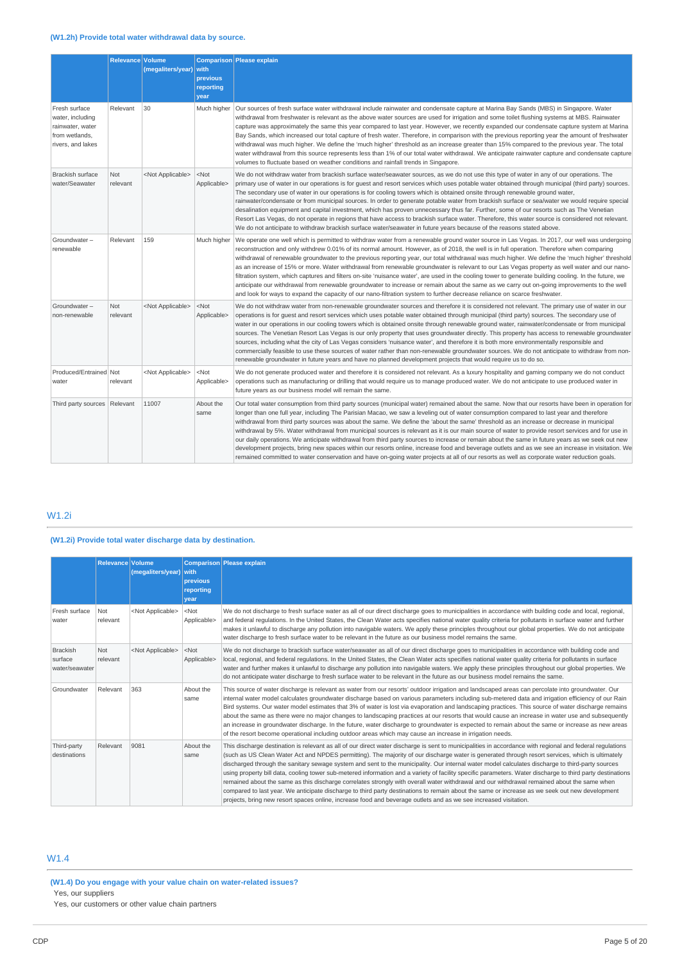|                                                                                              | Relevance Volume       | (megaliters/year)         | with<br>previous<br>reporting<br>year | Comparison Please explain                                                                                                                                                                                                                                                                                                                                                                                                                                                                                                                                                                                                                                                                                                                                                                                                                                                                                                                                                                                                                         |
|----------------------------------------------------------------------------------------------|------------------------|---------------------------|---------------------------------------|---------------------------------------------------------------------------------------------------------------------------------------------------------------------------------------------------------------------------------------------------------------------------------------------------------------------------------------------------------------------------------------------------------------------------------------------------------------------------------------------------------------------------------------------------------------------------------------------------------------------------------------------------------------------------------------------------------------------------------------------------------------------------------------------------------------------------------------------------------------------------------------------------------------------------------------------------------------------------------------------------------------------------------------------------|
| Fresh surface<br>water, including<br>rainwater, water<br>from wetlands,<br>rivers, and lakes | Relevant               | 30                        | Much higher                           | Our sources of fresh surface water withdrawal include rainwater and condensate capture at Marina Bay Sands (MBS) in Singapore. Water<br>withdrawal from freshwater is relevant as the above water sources are used for irrigation and some toilet flushing systems at MBS. Rainwater<br>capture was approximately the same this year compared to last year. However, we recently expanded our condensate capture system at Marina<br>Bay Sands, which increased our total capture of fresh water. Therefore, in comparison with the previous reporting year the amount of freshwater<br>withdrawal was much higher. We define the 'much higher' threshold as an increase greater than 15% compared to the previous year. The total<br>water withdrawal from this source represents less than 1% of our total water withdrawal. We anticipate rainwater capture and condensate capture<br>volumes to fluctuate based on weather conditions and rainfall trends in Singapore.                                                                       |
| <b>Brackish surface</b><br>water/Seawater                                                    | <b>Not</b><br>relevant | <not applicable=""></not> | $<$ Not<br>Applicable>                | We do not withdraw water from brackish surface water/seawater sources, as we do not use this type of water in any of our operations. The<br>primary use of water in our operations is for guest and resort services which uses potable water obtained through municipal (third party) sources.<br>The secondary use of water in our operations is for cooling towers which is obtained onsite through renewable ground water,<br>rainwater/condensate or from municipal sources. In order to generate potable water from brackish surface or sea/water we would require special<br>desalination equipment and capital investment, which has proven unnecessary thus far. Further, some of our resorts such as The Venetian<br>Resort Las Vegas, do not operate in regions that have access to brackish surface water. Therefore, this water source is considered not relevant.<br>We do not anticipate to withdraw brackish surface water/seawater in future years because of the reasons stated above.                                           |
| Groundwater-<br>renewable                                                                    | Relevant               | 159                       | Much higher                           | We operate one well which is permitted to withdraw water from a renewable ground water source in Las Vegas. In 2017, our well was undergoing<br>reconstruction and only withdrew 0.01% of its normal amount. However, as of 2018, the well is in full operation. Therefore when comparing<br>withdrawal of renewable groundwater to the previous reporting year, our total withdrawal was much higher. We define the 'much higher' threshold<br>as an increase of 15% or more. Water withdrawal from renewable groundwater is relevant to our Las Vegas property as well water and our nano-<br>filtration system, which captures and filters on-site 'nuisance water', are used in the cooling tower to generate building cooling. In the future, we<br>anticipate our withdrawal from renewable groundwater to increase or remain about the same as we carry out on-going improvements to the well<br>and look for ways to expand the capacity of our nano-filtration system to further decrease reliance on scarce freshwater.                 |
| Groundwater-<br>non-renewable                                                                | <b>Not</b><br>relevant | <not applicable=""></not> | $<$ Not<br>Applicable>                | We do not withdraw water from non-renewable groundwater sources and therefore it is considered not relevant. The primary use of water in our<br>operations is for guest and resort services which uses potable water obtained through municipal (third party) sources. The secondary use of<br>water in our operations in our cooling towers which is obtained onsite through renewable ground water, rainwater/condensate or from municipal<br>sources. The Venetian Resort Las Vegas is our only property that uses groundwater directly. This property has access to renewable groundwater<br>sources, including what the city of Las Vegas considers 'nuisance water', and therefore it is both more environmentally responsible and<br>commercially feasible to use these sources of water rather than non-renewable groundwater sources. We do not anticipate to withdraw from non-<br>renewable groundwater in future years and have no planned development projects that would require us to do so.                                       |
| Produced/Entrained Not<br>water                                                              | relevant               | <not applicable=""></not> | $<$ Not<br>Applicable>                | We do not generate produced water and therefore it is considered not relevant. As a luxury hospitality and gaming company we do not conduct<br>operations such as manufacturing or drilling that would require us to manage produced water. We do not anticipate to use produced water in<br>future years as our business model will remain the same.                                                                                                                                                                                                                                                                                                                                                                                                                                                                                                                                                                                                                                                                                             |
| Third party sources   Relevant                                                               |                        | 11007                     | About the<br>same                     | Our total water consumption from third party sources (municipal water) remained about the same. Now that our resorts have been in operation for<br>longer than one full year, including The Parisian Macao, we saw a leveling out of water consumption compared to last year and therefore<br>withdrawal from third party sources was about the same. We define the 'about the same' threshold as an increase or decrease in municipal<br>withdrawal by 5%. Water withdrawal from municipal sources is relevant as it is our main source of water to provide resort services and for use in<br>our daily operations. We anticipate withdrawal from third party sources to increase or remain about the same in future years as we seek out new<br>development projects, bring new spaces within our resorts online, increase food and beverage outlets and as we see an increase in visitation. We<br>remained committed to water conservation and have on-going water projects at all of our resorts as well as corporate water reduction goals. |

# W1.2i

# **(W1.2i) Provide total water discharge data by destination.**

|                                              | <b>Relevance Volume</b> | (megaliters/year)         | with<br><b>previous</b><br>reporting<br>vear | Comparison Please explain                                                                                                                                                                                                                                                                                                                                                                                                                                                                                                                                                                                                                                                                                                                                                                                                                                                                                                                                                                                                                            |
|----------------------------------------------|-------------------------|---------------------------|----------------------------------------------|------------------------------------------------------------------------------------------------------------------------------------------------------------------------------------------------------------------------------------------------------------------------------------------------------------------------------------------------------------------------------------------------------------------------------------------------------------------------------------------------------------------------------------------------------------------------------------------------------------------------------------------------------------------------------------------------------------------------------------------------------------------------------------------------------------------------------------------------------------------------------------------------------------------------------------------------------------------------------------------------------------------------------------------------------|
| Fresh surface<br>water                       | Not<br>relevant         | <not applicable=""></not> | $<$ Not<br>Applicable>                       | We do not discharge to fresh surface water as all of our direct discharge goes to municipalities in accordance with building code and local, regional,<br>and federal requlations. In the United States, the Clean Water acts specifies national water quality criteria for pollutants in surface water and further<br>makes it unlawful to discharge any pollution into navigable waters. We apply these principles throughout our global properties. We do not anticipate<br>water discharge to fresh surface water to be relevant in the future as our business model remains the same.                                                                                                                                                                                                                                                                                                                                                                                                                                                           |
| <b>Brackish</b><br>surface<br>water/seawater | Not<br>relevant         | <not applicable=""></not> | $<$ Not<br>Applicable>                       | We do not discharge to brackish surface water/seawater as all of our direct discharge goes to municipalities in accordance with building code and<br>local, regional, and federal regulations. In the United States, the Clean Water acts specifies national water quality criteria for pollutants in surface<br>water and further makes it unlawful to discharge any pollution into navigable waters. We apply these principles throughout our global properties. We<br>do not anticipate water discharge to fresh surface water to be relevant in the future as our business model remains the same.                                                                                                                                                                                                                                                                                                                                                                                                                                               |
| Groundwater                                  | Relevant                | 363                       | About the<br>same                            | This source of water discharge is relevant as water from our resorts' outdoor irrigation and landscaped areas can percolate into groundwater. Our<br>internal water model calculates groundwater discharge based on various parameters including sub-metered data and irrigation efficiency of our Rain<br>Bird systems. Our water model estimates that 3% of water is lost via evaporation and landscaping practices. This source of water discharge remains<br>about the same as there were no major changes to landscaping practices at our resorts that would cause an increase in water use and subsequently<br>an increase in groundwater discharge. In the future, water discharge to groundwater is expected to remain about the same or increase as new areas<br>of the resort become operational including outdoor areas which may cause an increase in irrigation needs.                                                                                                                                                                  |
| Third-party<br>destinations                  | Relevant                | 9081                      | About the<br>same                            | This discharge destination is relevant as all of our direct water discharge is sent to municipalities in accordance with regional and federal regulations<br>(such as US Clean Water Act and NPDES permitting). The majority of our discharge water is generated through resort services, which is ultimately<br>discharged through the sanitary sewage system and sent to the municipality. Our internal water model calculates discharge to third-party sources<br>using property bill data, cooling tower sub-metered information and a variety of facility specific parameters. Water discharge to third party destinations<br>remained about the same as this discharge correlates strongly with overall water withdrawal and our withdrawal remained about the same when<br>compared to last year. We anticipate discharge to third party destinations to remain about the same or increase as we seek out new development<br>projects, bring new resort spaces online, increase food and beverage outlets and as we see increased visitation. |

# W1.4

### **(W1.4) Do you engage with your value chain on water-related issues?** Yes, our suppliers

## Yes, our customers or other value chain partners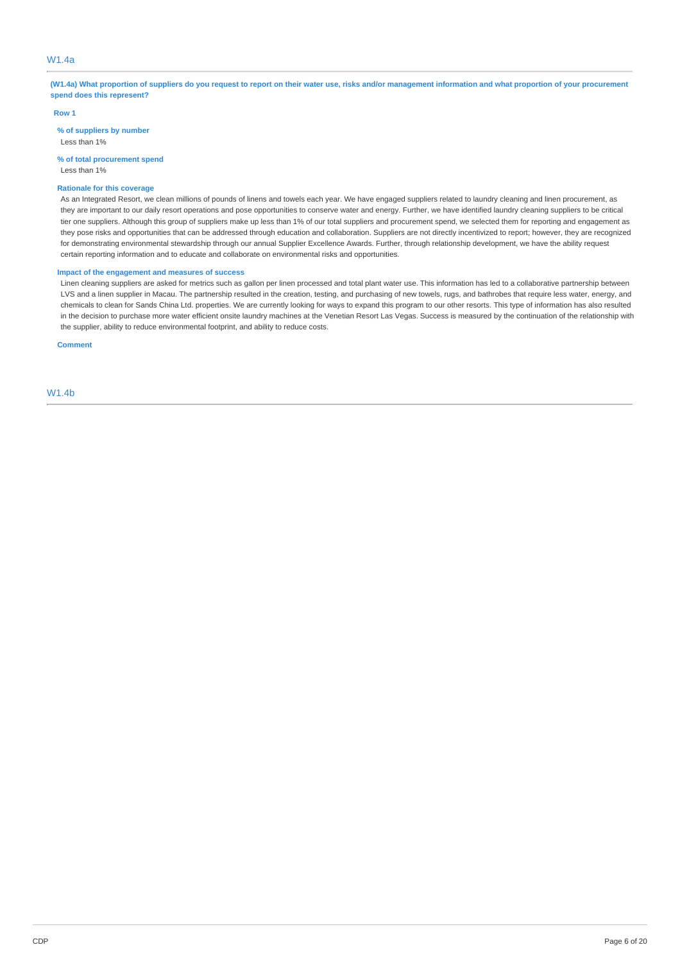## W1.4a

(W1.4a) What proportion of suppliers do you request to report on their water use, risks and/or management information and what proportion of your procurement **spend does this represent?**

#### **Row 1**

**% of suppliers by number** Less than 1%

**% of total procurement spend**

Less than 1%

# **Rationale for this coverage**

As an Integrated Resort, we clean millions of pounds of linens and towels each year. We have engaged suppliers related to laundry cleaning and linen procurement, as they are important to our daily resort operations and pose opportunities to conserve water and energy. Further, we have identified laundry cleaning suppliers to be critical tier one suppliers. Although this group of suppliers make up less than 1% of our total suppliers and procurement spend, we selected them for reporting and engagement as they pose risks and opportunities that can be addressed through education and collaboration. Suppliers are not directly incentivized to report; however, they are recognized for demonstrating environmental stewardship through our annual Supplier Excellence Awards. Further, through relationship development, we have the ability request certain reporting information and to educate and collaborate on environmental risks and opportunities.

### **Impact of the engagement and measures of success**

Linen cleaning suppliers are asked for metrics such as gallon per linen processed and total plant water use. This information has led to a collaborative partnership between LVS and a linen supplier in Macau. The partnership resulted in the creation, testing, and purchasing of new towels, rugs, and bathrobes that require less water, energy, and chemicals to clean for Sands China Ltd. properties. We are currently looking for ways to expand this program to our other resorts. This type of information has also resulted in the decision to purchase more water efficient onsite laundry machines at the Venetian Resort Las Vegas. Success is measured by the continuation of the relationship with the supplier, ability to reduce environmental footprint, and ability to reduce costs.

**Comment**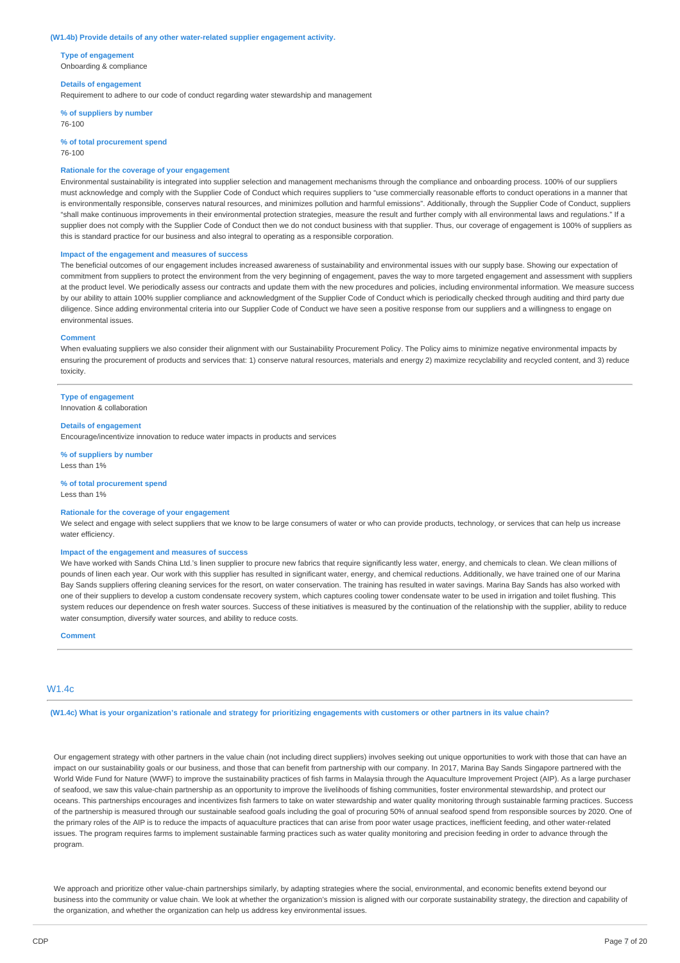#### **(W1.4b) Provide details of any other water-related supplier engagement activity.**

**Type of engagement** Onboarding & compliance

#### **Details of engagement**

Requirement to adhere to our code of conduct regarding water stewardship and management

**% of suppliers by number** 76-100

**% of total procurement spend** 76-100

#### **Rationale for the coverage of your engagement**

Environmental sustainability is integrated into supplier selection and management mechanisms through the compliance and onboarding process. 100% of our suppliers must acknowledge and comply with the Supplier Code of Conduct which requires suppliers to "use commercially reasonable efforts to conduct operations in a manner that is environmentally responsible, conserves natural resources, and minimizes pollution and harmful emissions". Additionally, through the Supplier Code of Conduct, suppliers "shall make continuous improvements in their environmental protection strategies, measure the result and further comply with all environmental laws and regulations." If a supplier does not comply with the Supplier Code of Conduct then we do not conduct business with that supplier. Thus, our coverage of engagement is 100% of suppliers as this is standard practice for our business and also integral to operating as a responsible corporation.

#### **Impact of the engagement and measures of success**

The beneficial outcomes of our engagement includes increased awareness of sustainability and environmental issues with our supply base. Showing our expectation of commitment from suppliers to protect the environment from the very beginning of engagement, paves the way to more targeted engagement and assessment with suppliers at the product level. We periodically assess our contracts and update them with the new procedures and policies, including environmental information. We measure success by our ability to attain 100% supplier compliance and acknowledgment of the Supplier Code of Conduct which is periodically checked through auditing and third party due diligence. Since adding environmental criteria into our Supplier Code of Conduct we have seen a positive response from our suppliers and a willingness to engage on environmental issues.

#### **Comment**

When evaluating suppliers we also consider their alignment with our Sustainability Procurement Policy. The Policy aims to minimize negative environmental impacts by ensuring the procurement of products and services that: 1) conserve natural resources, materials and energy 2) maximize recyclability and recycled content, and 3) reduce toxicity.

## **Type of engagement**

Innovation & collaboration

### **Details of engagement**

Encourage/incentivize innovation to reduce water impacts in products and services

**% of suppliers by number** Less than 1%

#### **% of total procurement spend** Less than 1%

#### **Rationale for the coverage of your engagement**

We select and engage with select suppliers that we know to be large consumers of water or who can provide products, technology, or services that can help us increase water efficiency.

#### **Impact of the engagement and measures of success**

We have worked with Sands China Ltd.'s linen supplier to procure new fabrics that require significantly less water, energy, and chemicals to clean. We clean millions of pounds of linen each year. Our work with this supplier has resulted in significant water, energy, and chemical reductions. Additionally, we have trained one of our Marina Bay Sands suppliers offering cleaning services for the resort, on water conservation. The training has resulted in water savings. Marina Bay Sands has also worked with one of their suppliers to develop a custom condensate recovery system, which captures cooling tower condensate water to be used in irrigation and toilet flushing. This system reduces our dependence on fresh water sources. Success of these initiatives is measured by the continuation of the relationship with the supplier, ability to reduce water consumption, diversify water sources, and ability to reduce costs.

#### **Comment**

### $M1AC$

(W1.4c) What is your organization's rationale and strategy for prioritizing engagements with customers or other partners in its value chain?

Our engagement strategy with other partners in the value chain (not including direct suppliers) involves seeking out unique opportunities to work with those that can have an impact on our sustainability goals or our business, and those that can benefit from partnership with our company. In 2017, Marina Bay Sands Singapore partnered with the World Wide Fund for Nature (WWF) to improve the sustainability practices of fish farms in Malaysia through the Aquaculture Improvement Project (AIP). As a large purchaser of seafood, we saw this value-chain partnership as an opportunity to improve the livelihoods of fishing communities, foster environmental stewardship, and protect our oceans. This partnerships encourages and incentivizes fish farmers to take on water stewardship and water quality monitoring through sustainable farming practices. Success of the partnership is measured through our sustainable seafood goals including the goal of procuring 50% of annual seafood spend from responsible sources by 2020. One of the primary roles of the AIP is to reduce the impacts of aquaculture practices that can arise from poor water usage practices, inefficient feeding, and other water-related issues. The program requires farms to implement sustainable farming practices such as water quality monitoring and precision feeding in order to advance through the program.

We approach and prioritize other value-chain partnerships similarly, by adapting strategies where the social, environmental, and economic benefits extend beyond our business into the community or value chain. We look at whether the organization's mission is aligned with our corporate sustainability strategy, the direction and capability of the organization, and whether the organization can help us address key environmental issues.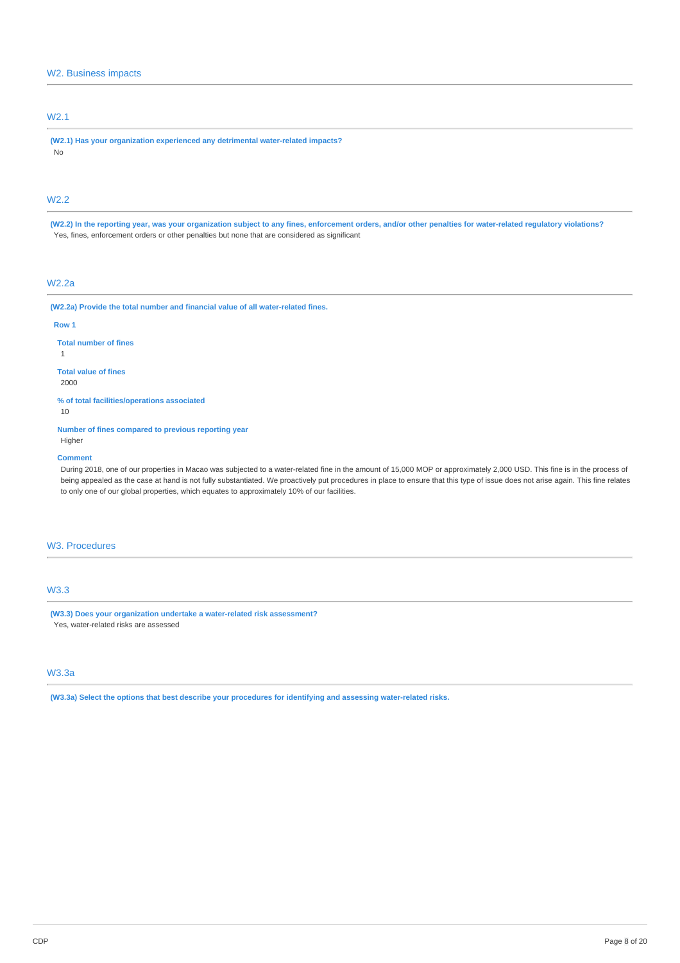## W2. Business impacts

# W2.1

**(W2.1) Has your organization experienced any detrimental water-related impacts?** No

# W2.2

(W2.2) In the reporting year, was your organization subject to any fines, enforcement orders, and/or other penalties for water-related regulatory violations? Yes, fines, enforcement orders or other penalties but none that are considered as significant

# W2.2a

**(W2.2a) Provide the total number and financial value of all water-related fines.**

#### **Row 1**

1

**Total number of fines**

# **Total value of fines**

2000

**% of total facilities/operations associated**

10

**Number of fines compared to previous reporting year** Higher

#### **Comment**

During 2018, one of our properties in Macao was subjected to a water-related fine in the amount of 15,000 MOP or approximately 2,000 USD. This fine is in the process of being appealed as the case at hand is not fully substantiated. We proactively put procedures in place to ensure that this type of issue does not arise again. This fine relates to only one of our global properties, which equates to approximately 10% of our facilities.

## W3. Procedures

## W3.3

**(W3.3) Does your organization undertake a water-related risk assessment?** Yes, water-related risks are assessed

# W3.3a

**(W3.3a) Select the options that best describe your procedures for identifying and assessing water-related risks.**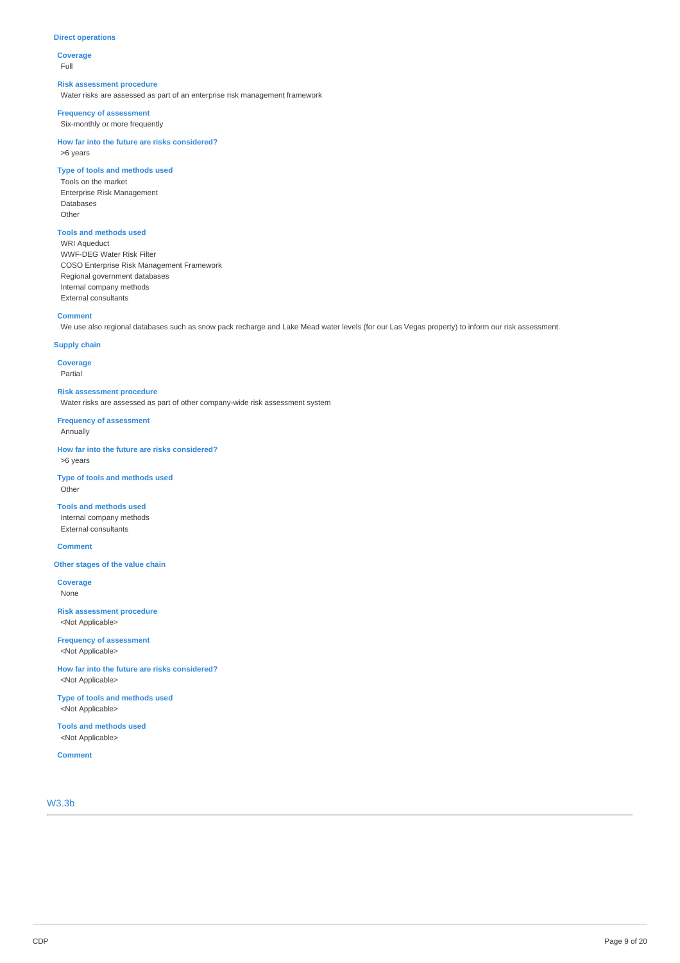#### **Direct operations**

**Coverage** Full

#### **Risk assessment procedure**

Water risks are assessed as part of an enterprise risk management framework

### **Frequency of assessment**

Six-monthly or more frequently

**How far into the future are risks considered?** >6 years

### **Type of tools and methods used**

Tools on the market Enterprise Risk Management Databases Other

## **Tools and methods used**

WRI Aqueduct WWF-DEG Water Risk Filter COSO Enterprise Risk Management Framework Regional government databases Internal company methods External consultants

#### **Comment**

We use also regional databases such as snow pack recharge and Lake Mead water levels (for our Las Vegas property) to inform our risk assessment.

### **Supply chain**

**Coverage** Partial

**Risk assessment procedure**

Water risks are assessed as part of other company-wide risk assessment system

**Frequency of assessment** Annually

**How far into the future are risks considered?** >6 years

**Type of tools and methods used** Other

**Tools and methods used** Internal company methods External consultants

### **Comment**

**Other stages of the value chain**

**Coverage** None

**Risk assessment procedure** <Not Applicable>

**Frequency of assessment** <Not Applicable>

**How far into the future are risks considered?** <Not Applicable>

**Type of tools and methods used** <Not Applicable>

**Tools and methods used** <Not Applicable>

**Comment**

W3.3b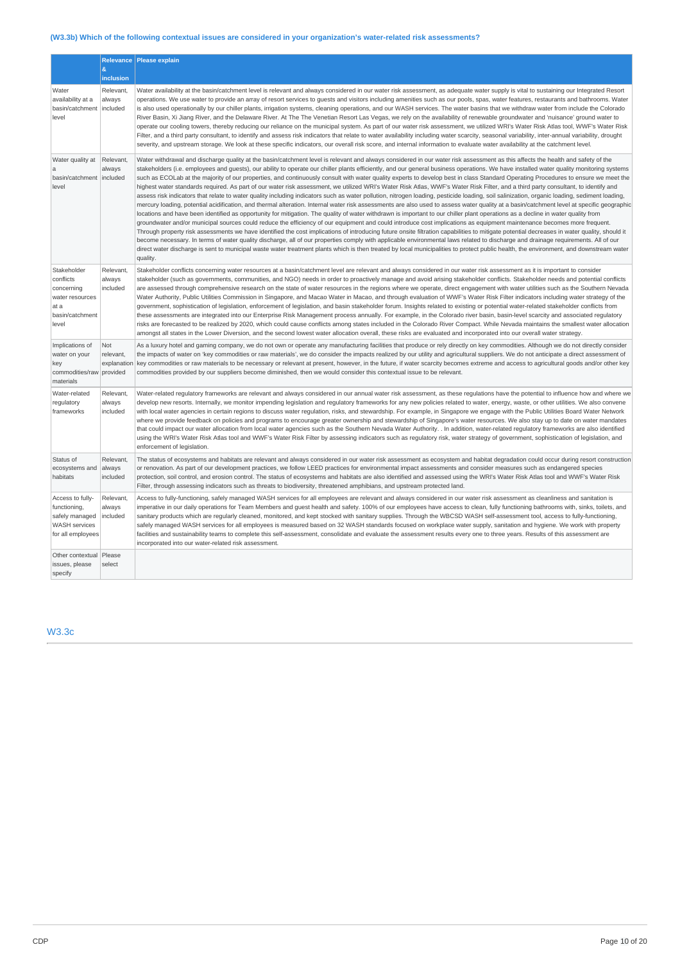# **(W3.3b) Which of the following contextual issues are considered in your organization's water-related risk assessments?**

|                                                                                                 | å.<br>inclusion                             | Relevance   Please explain                                                                                                                                                                                                                                                                                                                                                                                                                                                                                                                                                                                                                                                                                                                                                                                                                                                                                                                                                                                                                                                                                                                                                                                                                                                                                                                                                                                                                                                                                                                                                                                                                                                                                                                                                                                                                                                                                                                                                                                                                                                                                    |
|-------------------------------------------------------------------------------------------------|---------------------------------------------|---------------------------------------------------------------------------------------------------------------------------------------------------------------------------------------------------------------------------------------------------------------------------------------------------------------------------------------------------------------------------------------------------------------------------------------------------------------------------------------------------------------------------------------------------------------------------------------------------------------------------------------------------------------------------------------------------------------------------------------------------------------------------------------------------------------------------------------------------------------------------------------------------------------------------------------------------------------------------------------------------------------------------------------------------------------------------------------------------------------------------------------------------------------------------------------------------------------------------------------------------------------------------------------------------------------------------------------------------------------------------------------------------------------------------------------------------------------------------------------------------------------------------------------------------------------------------------------------------------------------------------------------------------------------------------------------------------------------------------------------------------------------------------------------------------------------------------------------------------------------------------------------------------------------------------------------------------------------------------------------------------------------------------------------------------------------------------------------------------------|
| Water<br>availability at a<br>basin/catchment<br>level                                          | Relevant,<br>always<br>included             | Water availability at the basin/catchment level is relevant and always considered in our water risk assessment, as adequate water supply is vital to sustaining our Integrated Resort<br>operations. We use water to provide an array of resort services to guests and visitors including amenities such as our pools, spas, water features, restaurants and bathrooms. Water<br>is also used operationally by our chiller plants, irrigation systems, cleaning operations, and our WASH services. The water basins that we withdraw water from include the Colorado<br>River Basin, Xi Jiang River, and the Delaware River. At The The Venetian Resort Las Vegas, we rely on the availability of renewable groundwater and 'nuisance' ground water to<br>operate our cooling towers, thereby reducing our reliance on the municipal system. As part of our water risk assessment, we utilized WRI's Water Risk Atlas tool, WWF's Water Risk<br>Filter, and a third party consultant, to identify and assess risk indicators that relate to water availability including water scarcity, seasonal variability, inter-annual variability, drought<br>severity, and upstream storage. We look at these specific indicators, our overall risk score, and internal information to evaluate water availability at the catchment level.                                                                                                                                                                                                                                                                                                                                                                                                                                                                                                                                                                                                                                                                                                                                                                             |
| Water quality at<br>a<br>basin/catchment<br>level                                               | Relevant,<br>always<br>included             | Water withdrawal and discharge quality at the basin/catchment level is relevant and always considered in our water risk assessment as this affects the health and safety of the<br>stakeholders (i.e. employees and guests), our ability to operate our chiller plants efficiently, and our general business operations. We have installed water quality monitoring systems<br>such as ECOLab at the majority of our properties, and continuously consult with water quality experts to develop best in class Standard Operating Procedures to ensure we meet the<br>highest water standards required. As part of our water risk assessment, we utilized WRI's Water Risk Atlas, WWF's Water Risk Filter, and a third party consultant, to identify and<br>assess risk indicators that relate to water quality including indicators such as water pollution, nitrogen loading, pesticide loading, soil salinization, organic loading, sediment loading,<br>mercury loading, potential acidification, and thermal alteration. Internal water risk assessments are also used to assess water quality at a basin/catchment level at specific geographic<br>locations and have been identified as opportunity for mitigation. The quality of water withdrawn is important to our chiller plant operations as a decline in water quality from<br>groundwater and/or municipal sources could reduce the efficiency of our equipment and could introduce cost implications as equipment maintenance becomes more frequent.<br>Through property risk assessments we have identified the cost implications of introducing future onsite filtration capabilities to mitigate potential decreases in water quality, should it<br>become necessary. In terms of water quality discharge, all of our properties comply with applicable environmental laws related to discharge and drainage requirements. All of our<br>direct water discharge is sent to municipal waste water treatment plants which is then treated by local municipalities to protect public health, the environment, and downstream water<br>quality. |
| Stakeholder<br>conflicts<br>concerning<br>water resources<br>at a<br>basin/catchment<br>level   | Relevant,<br>always<br>included             | Stakeholder conflicts concerning water resources at a basin/catchment level are relevant and always considered in our water risk assessment as it is important to consider<br>stakeholder (such as governments, communities, and NGO) needs in order to proactively manage and avoid arising stakeholder conflicts. Stakeholder needs and potential conflicts<br>are assessed through comprehensive research on the state of water resources in the regions where we operate, direct engagement with water utilities such as the Southern Nevada<br>Water Authority, Public Utilities Commission in Singapore, and Macao Water in Macao, and through evaluation of WWF's Water Risk Filter indicators including water strategy of the<br>government, sophistication of legislation, enforcement of legislation, and basin stakeholder forum. Insights related to existing or potential water-related stakeholder conflicts from<br>these assessments are integrated into our Enterprise Risk Management process annually. For example, in the Colorado river basin, basin-level scarcity and associated regulatory<br>risks are forecasted to be realized by 2020, which could cause conflicts among states included in the Colorado River Compact. While Nevada maintains the smallest water allocation<br>amongst all states in the Lower Diversion, and the second lowest water allocation overall, these risks are evaluated and incorporated into our overall water strategy.                                                                                                                                                                                                                                                                                                                                                                                                                                                                                                                                                                                                                            |
| Implications of<br>water on your<br>key<br>commodities/raw<br>materials                         | Not<br>relevant,<br>explanation<br>provided | As a luxury hotel and gaming company, we do not own or operate any manufacturing facilities that produce or rely directly on key commodities. Although we do not directly consider<br>the impacts of water on 'key commodities or raw materials', we do consider the impacts realized by our utility and agricultural suppliers. We do not anticipate a direct assessment of<br>key commodities or raw materials to be necessary or relevant at present, however, in the future, if water scarcity becomes extreme and access to agricultural goods and/or other key<br>commodities provided by our suppliers become diminished, then we would consider this contextual issue to be relevant.                                                                                                                                                                                                                                                                                                                                                                                                                                                                                                                                                                                                                                                                                                                                                                                                                                                                                                                                                                                                                                                                                                                                                                                                                                                                                                                                                                                                                 |
| Water-related<br>regulatory<br>frameworks                                                       | Relevant,<br>always<br>included             | Water-related regulatory frameworks are relevant and always considered in our annual water risk assessment, as these regulations have the potential to influence how and where we<br>develop new resorts. Internally, we monitor impending legislation and regulatory frameworks for any new policies related to water, energy, waste, or other utilities. We also convene<br>with local water agencies in certain regions to discuss water regulation, risks, and stewardship. For example, in Singapore we engage with the Public Utilities Board Water Network<br>where we provide feedback on policies and programs to encourage greater ownership and stewardship of Singapore's water resources. We also stay up to date on water mandates<br>that could impact our water allocation from local water agencies such as the Southern Nevada Water Authority. . In addition, water-related regulatory frameworks are also identified<br>using the WRI's Water Risk Atlas tool and WWF's Water Risk Filter by assessing indicators such as regulatory risk, water strategy of government, sophistication of legislation, and<br>enforcement of legislation.                                                                                                                                                                                                                                                                                                                                                                                                                                                                                                                                                                                                                                                                                                                                                                                                                                                                                                                                                |
| Status of<br>ecosystems and<br>habitats                                                         | Relevant,<br>always<br>included             | The status of ecosystems and habitats are relevant and always considered in our water risk assessment as ecosystem and habitat degradation could occur during resort construction<br>or renovation. As part of our development practices, we follow LEED practices for environmental impact assessments and consider measures such as endangered species<br>protection, soil control, and erosion control. The status of ecosystems and habitats are also identified and assessed using the WRI's Water Risk Atlas tool and WWF's Water Risk<br>Filter, through assessing indicators such as threats to biodiversity, threatened amphibians, and upstream protected land.                                                                                                                                                                                                                                                                                                                                                                                                                                                                                                                                                                                                                                                                                                                                                                                                                                                                                                                                                                                                                                                                                                                                                                                                                                                                                                                                                                                                                                     |
| Access to fully-<br>functioning,<br>safely managed<br><b>WASH</b> services<br>for all employees | Relevant,<br>always<br>included             | Access to fully-functioning, safely managed WASH services for all employees are relevant and always considered in our water risk assessment as cleanliness and sanitation is<br>imperative in our daily operations for Team Members and quest health and safety. 100% of our employees have access to clean, fully functioning bathrooms with, sinks, toilets, and<br>sanitary products which are regularly cleaned, monitored, and kept stocked with sanitary supplies. Through the WBCSD WASH self-assessment tool, access to fully-functioning,<br>safely managed WASH services for all employees is measured based on 32 WASH standards focused on workplace water supply, sanitation and hygiene. We work with property<br>facilities and sustainability teams to complete this self-assessment, consolidate and evaluate the assessment results every one to three years. Results of this assessment are<br>incorporated into our water-related risk assessment.                                                                                                                                                                                                                                                                                                                                                                                                                                                                                                                                                                                                                                                                                                                                                                                                                                                                                                                                                                                                                                                                                                                                        |
| Other contextual<br>issues, please<br>specify                                                   | Please<br>select                            |                                                                                                                                                                                                                                                                                                                                                                                                                                                                                                                                                                                                                                                                                                                                                                                                                                                                                                                                                                                                                                                                                                                                                                                                                                                                                                                                                                                                                                                                                                                                                                                                                                                                                                                                                                                                                                                                                                                                                                                                                                                                                                               |

W3.3c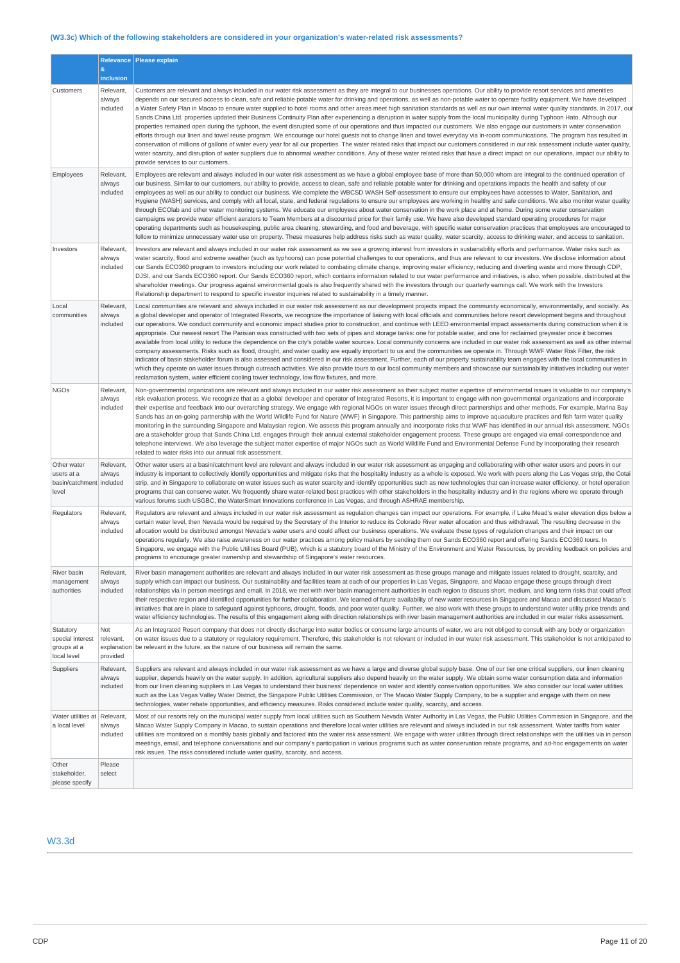# **(W3.3c) Which of the following stakeholders are considered in your organization's water-related risk assessments?**

|                                                                |                                             | Relevance   Please explain                                                                                                                                                                                                                                                                                                                                                                                                                                                                                                                                                                                                                                                                                                                                                                                                                                                                                                                                                                                                                                                                                                                                                                                                                                                                                                                                                                                                                                                                                                                                                                        |
|----------------------------------------------------------------|---------------------------------------------|---------------------------------------------------------------------------------------------------------------------------------------------------------------------------------------------------------------------------------------------------------------------------------------------------------------------------------------------------------------------------------------------------------------------------------------------------------------------------------------------------------------------------------------------------------------------------------------------------------------------------------------------------------------------------------------------------------------------------------------------------------------------------------------------------------------------------------------------------------------------------------------------------------------------------------------------------------------------------------------------------------------------------------------------------------------------------------------------------------------------------------------------------------------------------------------------------------------------------------------------------------------------------------------------------------------------------------------------------------------------------------------------------------------------------------------------------------------------------------------------------------------------------------------------------------------------------------------------------|
|                                                                | &<br>inclusion                              |                                                                                                                                                                                                                                                                                                                                                                                                                                                                                                                                                                                                                                                                                                                                                                                                                                                                                                                                                                                                                                                                                                                                                                                                                                                                                                                                                                                                                                                                                                                                                                                                   |
| Customers                                                      | Relevant,<br>always<br>included             | Customers are relevant and always included in our water risk assessment as they are integral to our businesses operations. Our ability to provide resort services and amenities<br>depends on our secured access to clean, safe and reliable potable water for drinking and operations, as well as non-potable water to operate facility equipment. We have developed<br>a Water Safety Plan in Macao to ensure water supplied to hotel rooms and other areas meet high sanitation standards as well as our own internal water quality standards. In 2017, our<br>Sands China Ltd. properties updated their Business Continuity Plan after experiencing a disruption in water supply from the local municipality during Typhoon Hato. Although our<br>properties remained open during the typhoon, the event disrupted some of our operations and thus impacted our customers. We also engage our customers in water conservation<br>efforts through our linen and towel reuse program. We encourage our hotel guests not to change linen and towel everyday via in-room communications. The program has resulted in<br>conservation of millions of gallons of water every year for all our properties. The water related risks that impact our customers considered in our risk assessment include water quality,<br>water scarcity, and disruption of water suppliers due to abnormal weather conditions. Any of these water related risks that have a direct impact on our operations, impact our ability to<br>provide services to our customers.                                             |
| Employees                                                      | Relevant,<br>always<br>included             | Employees are relevant and always included in our water risk assessment as we have a global employee base of more than 50,000 whom are integral to the continued operation of<br>our business. Similar to our customers, our ability to provide, access to clean, safe and reliable potable water for drinking and operations impacts the health and safety of our<br>employees as well as our ability to conduct our business. We complete the WBCSD WASH Self-assessment to ensure our employees have accesses to Water, Sanitation, and<br>Hygiene (WASH) services, and comply with all local, state, and federal regulations to ensure our employees are working in healthy and safe conditions. We also monitor water quality<br>through ECOlab and other water monitoring systems. We educate our employees about water conservation in the work place and at home. During some water conservation<br>campaigns we provide water efficient aerators to Team Members at a discounted price for their family use. We have also developed standard operating procedures for major<br>operating departments such as housekeeping, public area cleaning, stewarding, and food and beverage, with specific water conservation practices that employees are encouraged to<br>follow to minimize unnecessary water use on property. These measures help address risks such as water quality, water scarcity, access to drinking water, and access to sanitation.                                                                                                                                    |
| Investors                                                      | Relevant,<br>always<br>included             | Investors are relevant and always included in our water risk assessment as we see a growing interest from investors in sustainability efforts and performance. Water risks such as<br>water scarcity, flood and extreme weather (such as typhoons) can pose potential challenges to our operations, and thus are relevant to our investors. We disclose information about<br>our Sands ECO360 program to investors including our work related to combating climate change, improving water efficiency, reducing and diverting waste and more through CDP,<br>DJSI, and our Sands ECO360 report. Our Sands ECO360 report, which contains information related to our water performance and initiatives, is also, when possible, distributed at the<br>shareholder meetings. Our progress against environmental goals is also frequently shared with the investors through our quarterly earnings call. We work with the Investors<br>Relationship department to respond to specific investor inquiries related to sustainability in a timely manner.                                                                                                                                                                                                                                                                                                                                                                                                                                                                                                                                                |
| Local<br>communities                                           | Relevant,<br>always<br>included             | Local communities are relevant and always included in our water risk assessment as our development projects impact the community economically, environmentally, and socially. As<br>a global developer and operator of Integrated Resorts, we recognize the importance of liaising with local officials and communities before resort development begins and throughout<br>our operations. We conduct community and economic impact studies prior to construction, and continue with LEED environmental impact assessments during construction when it is<br>appropriate. Our newest resort The Parisian was constructed with two sets of pipes and storage tanks: one for potable water, and one for reclaimed greywater once it becomes<br>available from local utility to reduce the dependence on the city's potable water sources. Local community concerns are included in our water risk assessment as well as other internal<br>company assessments. Risks such as flood, drought, and water quality are equally important to us and the communities we operate in. Through WWF Water Risk Filter, the risk<br>indicator of basin stakeholder forum is also assessed and considered in our risk assessment. Further, each of our property sustainability team engages with the local communities in<br>which they operate on water issues through outreach activities. We also provide tours to our local community members and showcase our sustainability initiatives including our water<br>reclamation system, water efficient cooling tower technology, low flow fixtures, and more. |
| <b>NGOs</b>                                                    | Relevant,<br>always<br>included             | Non-governmental organizations are relevant and always included in our water risk assessment as their subject matter expertise of environmental issues is valuable to our company's<br>risk evaluation process. We recognize that as a global developer and operator of Integrated Resorts, it is important to engage with non-governmental organizations and incorporate<br>their expertise and feedback into our overarching strategy. We engage with regional NGOs on water issues through direct partnerships and other methods. For example, Marina Bay<br>Sands has an on-going partnership with the World Wildlife Fund for Nature (WWF) in Singapore. This partnership aims to improve aquaculture practices and fish farm water quality<br>monitoring in the surrounding Singapore and Malaysian region. We assess this program annually and incorporate risks that WWF has identified in our annual risk assessment. NGOs<br>are a stakeholder group that Sands China Ltd. engages through their annual external stakeholder engagement process. These groups are engaged via email correspondence and<br>telephone interviews. We also leverage the subject matter expertise of major NGOs such as World Wildlife Fund and Environmental Defense Fund by incorporating their research<br>related to water risks into our annual risk assessment.                                                                                                                                                                                                                                       |
| Other water<br>users at a<br>basin/catchment included<br>level | Relevant,<br>always                         | Other water users at a basin/catchment level are relevant and always included in our water risk assessment as engaging and collaborating with other water users and peers in our<br>industry is important to collectively identify opportunities and mitigate risks that the hospitality industry as a whole is exposed. We work with peers along the Las Vegas strip, the Cotai<br>strip, and in Singapore to collaborate on water issues such as water scarcity and identify opportunities such as new technologies that can increase water efficiency, or hotel operation<br>programs that can conserve water. We frequently share water-related best practices with other stakeholders in the hospitality industry and in the regions where we operate through<br>various forums such USGBC, the WaterSmart Innovations conference in Las Vegas, and through ASHRAE membership.                                                                                                                                                                                                                                                                                                                                                                                                                                                                                                                                                                                                                                                                                                               |
| Regulators                                                     | Relevant,<br>always<br>included             | Regulators are relevant and always included in our water risk assessment as regulation changes can impact our operations. For example, if Lake Mead's water elevation dips below a<br>certain water level, then Nevada would be required by the Secretary of the Interior to reduce its Colorado River water allocation and thus withdrawal. The resulting decrease in the<br>allocation would be distributed amongst Nevada's water users and could affect our business operations. We evaluate these types of regulation changes and their impact on our<br>operations reqularly. We also raise awareness on our water practices among policy makers by sending them our Sands ECO360 report and offering Sands ECO360 tours. In<br>Singapore, we engage with the Public Utilities Board (PUB), which is a statutory board of the Ministry of the Environment and Water Resources, by providing feedback on policies and<br>programs to encourage greater ownership and stewardship of Singapore's water resources.                                                                                                                                                                                                                                                                                                                                                                                                                                                                                                                                                                             |
| River basin<br>management<br>authorities                       | Relevant,<br>always<br>included             | River basin management authorities are relevant and always included in our water risk assessment as these groups manage and mitigate issues related to drought, scarcity, and<br>supply which can impact our business. Our sustainability and facilities team at each of our properties in Las Vegas, Singapore, and Macao engage these groups through direct<br>relationships via in person meetings and email. In 2018, we met with river basin management authorities in each region to discuss short, medium, and long term risks that could affect<br>their respective region and identified opportunities for further collaboration. We learned of future availability of new water resources in Singapore and Macao and discussed Macao's<br>initiatives that are in place to safequard against typhoons, drought, floods, and poor water quality. Further, we also work with these groups to understand water utility price trends and<br>water efficiency technologies. The results of this engagement along with direction relationships with river basin management authorities are included in our water risks assessment.                                                                                                                                                                                                                                                                                                                                                                                                                                                            |
| Statutory<br>special interest<br>groups at a<br>local level    | Not<br>relevant,<br>explanation<br>provided | As an Integrated Resort company that does not directly discharge into water bodies or consume large amounts of water, we are not obliged to consult with any body or organization<br>on water issues due to a statutory or regulatory requirement. Therefore, this stakeholder is not relevant or included in our water risk assessment. This stakeholder is not anticipated to<br>be relevant in the future, as the nature of our business will remain the same.                                                                                                                                                                                                                                                                                                                                                                                                                                                                                                                                                                                                                                                                                                                                                                                                                                                                                                                                                                                                                                                                                                                                 |
| Suppliers                                                      | Relevant,<br>always<br>included             | Suppliers are relevant and always included in our water risk assessment as we have a large and diverse global supply base. One of our tier one critical suppliers, our linen cleaning<br>supplier, depends heavily on the water supply. In addition, agricultural suppliers also depend heavily on the water supply. We obtain some water consumption data and information<br>from our linen cleaning suppliers in Las Vegas to understand their business' dependence on water and identify conservation opportunities. We also consider our local water utilities<br>such as the Las Vegas Valley Water District, the Singapore Public Utilities Commission, or The Macao Water Supply Company, to be a supplier and engage with them on new<br>technologies, water rebate opportunities, and efficiency measures. Risks considered include water quality, scarcity, and access.                                                                                                                                                                                                                                                                                                                                                                                                                                                                                                                                                                                                                                                                                                                 |
| Water utilities at<br>a local level                            | Relevant,<br>always<br>included             | Most of our resorts rely on the municipal water supply from local utilities such as Southern Nevada Water Authority in Las Vegas, the Public Utilities Commission in Singapore, and the<br>Macao Water Supply Company in Macao, to sustain operations and therefore local water utilities are relevant and always included in our risk assessment. Water tariffs from water<br>utilities are monitored on a monthly basis globally and factored into the water risk assessment. We engage with water utilities through direct relationships with the utilities via in person<br>meetings, email, and telephone conversations and our company's participation in various programs such as water conservation rebate programs, and ad-hoc engagements on water<br>risk issues. The risks considered include water quality, scarcity, and access.                                                                                                                                                                                                                                                                                                                                                                                                                                                                                                                                                                                                                                                                                                                                                    |
| Other<br>stakeholder,<br>please specify                        | Please<br>select                            |                                                                                                                                                                                                                                                                                                                                                                                                                                                                                                                                                                                                                                                                                                                                                                                                                                                                                                                                                                                                                                                                                                                                                                                                                                                                                                                                                                                                                                                                                                                                                                                                   |

## W3.3d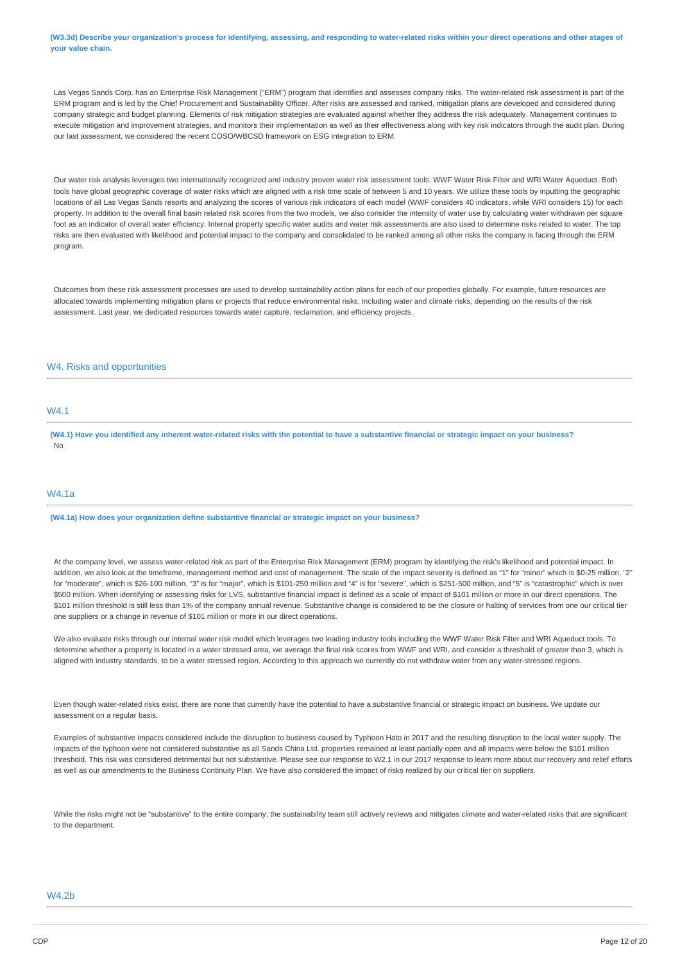(W3.3d) Describe your organization's process for identifying, assessing, and responding to water-related risks within your direct operations and other stages of **your value chain.**

Las Vegas Sands Corp. has an Enterprise Risk Management ("ERM") program that identifies and assesses company risks. The water-related risk assessment is part of the ERM program and is led by the Chief Procurement and Sustainability Officer. After risks are assessed and ranked, mitigation plans are developed and considered during company strategic and budget planning. Elements of risk mitigation strategies are evaluated against whether they address the risk adequately. Management continues to execute mitigation and improvement strategies, and monitors their implementation as well as their effectiveness along with key risk indicators through the audit plan. During our last assessment, we considered the recent COSO/WBCSD framework on ESG integration to ERM.

Our water risk analysis leverages two internationally recognized and industry proven water risk assessment tools: WWF Water Risk Filter and WRI Water Aqueduct. Both tools have global geographic coverage of water risks which are aligned with a risk time scale of between 5 and 10 years. We utilize these tools by inputting the geographic locations of all Las Vegas Sands resorts and analyzing the scores of various risk indicators of each model (WWF considers 40 indicators, while WRI considers 15) for each property. In addition to the overall final basin related risk scores from the two models, we also consider the intensity of water use by calculating water withdrawn per square foot as an indicator of overall water efficiency. Internal property specific water audits and water risk assessments are also used to determine risks related to water. The top risks are then evaluated with likelihood and potential impact to the company and consolidated to be ranked among all other risks the company is facing through the ERM program.

Outcomes from these risk assessment processes are used to develop sustainability action plans for each of our properties globally. For example, future resources are allocated towards implementing mitigation plans or projects that reduce environmental risks, including water and climate risks, depending on the results of the risk assessment. Last year, we dedicated resources towards water capture, reclamation, and efficiency projects.

### W4. Risks and opportunities

## W4.1

(W4.1) Have you identified any inherent water-related risks with the potential to have a substantive financial or strategic impact on your business? No

## W4.1a

**(W4.1a) How does your organization define substantive financial or strategic impact on your business?**

At the company level, we assess water-related risk as part of the Enterprise Risk Management (ERM) program by identifying the risk's likelihood and potential impact. In addition, we also look at the timeframe, management method and cost of management. The scale of the impact severity is defined as "1" for "minor" which is \$0-25 million, "2" for "moderate", which is \$26-100 million, "3" is for "major", which is \$101-250 million and "4" is for "severe", which is \$251-500 million, and "5" is "catastrophic" which is over \$500 million. When identifying or assessing risks for LVS, substantive financial impact is defined as a scale of impact of \$101 million or more in our direct operations. The \$101 million threshold is still less than 1% of the company annual revenue. Substantive change is considered to be the closure or halting of services from one our critical tier one suppliers or a change in revenue of \$101 million or more in our direct operations.

We also evaluate risks through our internal water risk model which leverages two leading industry tools including the WWF Water Risk Filter and WRI Aqueduct tools. To determine whether a property is located in a water stressed area, we average the final risk scores from WWF and WRI, and consider a threshold of greater than 3, which is aligned with industry standards, to be a water stressed region. According to this approach we currently do not withdraw water from any water-stressed regions

Even though water-related risks exist, there are none that currently have the potential to have a substantive financial or strategic impact on business. We update our assessment on a regular basis.

Examples of substantive impacts considered include the disruption to business caused by Typhoon Hato in 2017 and the resulting disruption to the local water supply. The impacts of the typhoon were not considered substantive as all Sands China Ltd. properties remained at least partially open and all impacts were below the \$101 million threshold. This risk was considered detrimental but not substantive. Please see our response to W2.1 in our 2017 response to learn more about our recovery and relief efforts as well as our amendments to the Business Continuity Plan. We have also considered the impact of risks realized by our critical tier on suppliers.

While the risks might not be "substantive" to the entire company, the sustainability team still actively reviews and mitigates climate and water-related risks that are significant to the department.

### W4.2b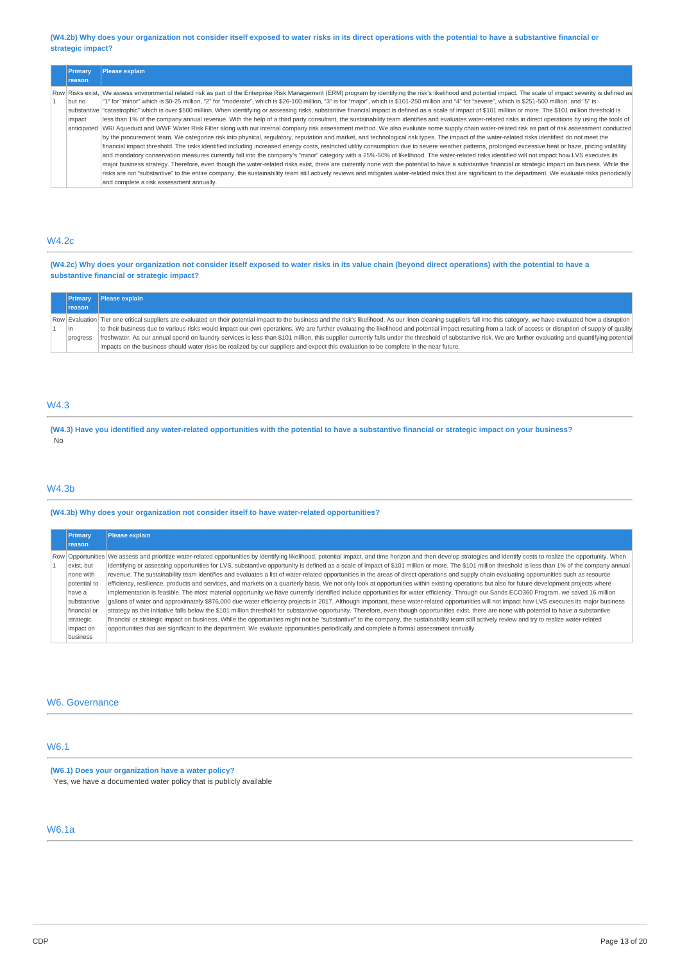#### (W4.2b) Why does your organization not consider itself exposed to water risks in its direct operations with the potential to have a substantive financial or **strategic impact?**

| <b>Primary</b><br>reason        | Please explain                                                                                                                                                                                                                                                                                                                                                                                                                                                                                                                                                                                                                                                                                                                                                                                                                                                                                                                                                                                                                                                                                                                                                                                                                                                                                                                                                                                                                                                                                                                                                                                                                                                                                                                                                                                                                                                                                                                                                                                                                                                                                                                      |
|---------------------------------|-------------------------------------------------------------------------------------------------------------------------------------------------------------------------------------------------------------------------------------------------------------------------------------------------------------------------------------------------------------------------------------------------------------------------------------------------------------------------------------------------------------------------------------------------------------------------------------------------------------------------------------------------------------------------------------------------------------------------------------------------------------------------------------------------------------------------------------------------------------------------------------------------------------------------------------------------------------------------------------------------------------------------------------------------------------------------------------------------------------------------------------------------------------------------------------------------------------------------------------------------------------------------------------------------------------------------------------------------------------------------------------------------------------------------------------------------------------------------------------------------------------------------------------------------------------------------------------------------------------------------------------------------------------------------------------------------------------------------------------------------------------------------------------------------------------------------------------------------------------------------------------------------------------------------------------------------------------------------------------------------------------------------------------------------------------------------------------------------------------------------------------|
| but no<br>impact<br>anticipated | Row Risks exist, We assess environmental related risk as part of the Enterprise Risk Management (ERM) program by identifying the risk's likelihood and potential impact. The scale of impact severity is defined as<br>"1" for "minor" which is \$0-25 million, "2" for "moderate", which is \$26-100 million, "3" is for "major", which is \$101-250 million and "4" for "severe", which is \$251-500 million, and "5" is<br>substantive ratastrophic" which is over \$500 million. When identifying or assessing risks, substantive financial impact is defined as a scale of impact of \$101 million or more. The \$101 million threshold is<br>less than 1% of the company annual revenue. With the help of a third party consultant, the sustainability team identifies and evaluates water-related risks in direct operations by using the tools of<br>WRI Aqueduct and WWF Water Risk Filter along with our internal company risk assessment method. We also evaluate some supply chain water-related risk as part of risk assessment conducted<br>by the procurement team. We categorize risk into physical, regulatory, reputation and market, and technological risk types. The impact of the water-related risks identified do not meet the<br>financial impact threshold. The risks identified including increased energy costs, restricted utility consumption due to severe weather patterns, prolonged excessive heat or haze, pricing volatility<br>and mandatory conservation measures currently fall into the company's "minor" category with a 25%-50% of likelihood. The water-related risks identified will not impact how LVS executes its<br>major business strategy. Therefore, even though the water-related risks exist, there are currently none with the potential to have a substantive financial or strategic impact on business. While the<br>risks are not "substantive" to the entire company, the sustainability team still actively reviews and mitigates water-related risks that are significant to the department. We evaluate risks periodically<br>and complete a risk assessment annually. |

### W4.2c

(W4.2c) Why does your organization not consider itself exposed to water risks in its value chain (beyond direct operations) with the potential to have a **substantive financial or strategic impact?**

| Primary       | <b>Please explain</b>                                                                                                                                                                                                     |
|---------------|---------------------------------------------------------------------------------------------------------------------------------------------------------------------------------------------------------------------------|
| <b>reason</b> |                                                                                                                                                                                                                           |
|               | Row Evaluation Tier one critical suppliers are evaluated on their potential impact to the business and the risk's likelihood. As our linen cleaning suppliers fall into this category, we have evaluated how a disruption |
| l in          | to their business due to various risks would impact our own operations. We are further evaluating the likelihood and potential impact resulting from a lack of access or disruption of supply of quality                  |
| progress      | freshwater. As our annual spend on laundry services is less than \$101 million, this supplier currently falls under the threshold of substantive risk. We are further evaluating and quantifying potential                |
|               | impacts on the business should water risks be realized by our suppliers and expect this evaluation to be complete in the near future.                                                                                     |

## W4.3

(W4.3) Have you identified any water-related opportunities with the potential to have a substantive financial or strategic impact on your business? No

## W4.3b

### **(W4.3b) Why does your organization not consider itself to have water-related opportunities?**

| Primary<br>reason                                                                | <b>Please explain</b>                                                                                                                                                                                                                                                                                                                                                                                                                                                                                                                                                                                                                                                                                                                                                                                                                                                                                                                                                                                                                                                                                                                                                                                                                                                                                                                                                                                                        |
|----------------------------------------------------------------------------------|------------------------------------------------------------------------------------------------------------------------------------------------------------------------------------------------------------------------------------------------------------------------------------------------------------------------------------------------------------------------------------------------------------------------------------------------------------------------------------------------------------------------------------------------------------------------------------------------------------------------------------------------------------------------------------------------------------------------------------------------------------------------------------------------------------------------------------------------------------------------------------------------------------------------------------------------------------------------------------------------------------------------------------------------------------------------------------------------------------------------------------------------------------------------------------------------------------------------------------------------------------------------------------------------------------------------------------------------------------------------------------------------------------------------------|
| exist, but<br>none with<br>potential to<br>have a<br>substantive<br>financial or | Row Opportunities We assess and prioritize water-related opportunities by identifying likelihood, potential impact, and time horizon and then develop strategies and identify costs to realize the opportunity. When<br>identifying or assessing opportunities for LVS, substantive opportunity is defined as a scale of impact of \$101 million or more. The \$101 million threshold is less than 1% of the company annual<br>revenue. The sustainability team identifies and evaluates a list of water-related opportunities in the areas of direct operations and supply chain evaluating opportunities such as resource<br>efficiency, resilience, products and services, and markets on a quarterly basis. We not only look at opportunities within existing operations but also for future development projects where<br>implementation is feasible. The most material opportunity we have currently identified include opportunities for water efficiency. Through our Sands ECO360 Program, we saved 16 million<br>gallons of water and approximately \$876,000 due water efficiency projects in 2017. Although important, these water-related opportunities will not impact how LVS executes its major business<br>strategy as this initiative falls below the \$101 million threshold for substantive opportunity. Therefore, even though opportunities exist, there are none with potential to have a substantive |
| strategic<br>impact on<br>business                                               | financial or strategic impact on business. While the opportunities might not be "substantive" to the company, the sustainability team still actively review and try to realize water-related<br>opportunities that are significant to the department. We evaluate opportunities periodically and complete a formal assessment annually.                                                                                                                                                                                                                                                                                                                                                                                                                                                                                                                                                                                                                                                                                                                                                                                                                                                                                                                                                                                                                                                                                      |

### W6. Governance

# W6.1

**(W6.1) Does your organization have a water policy?** Yes, we have a documented water policy that is publicly available

# W6.1a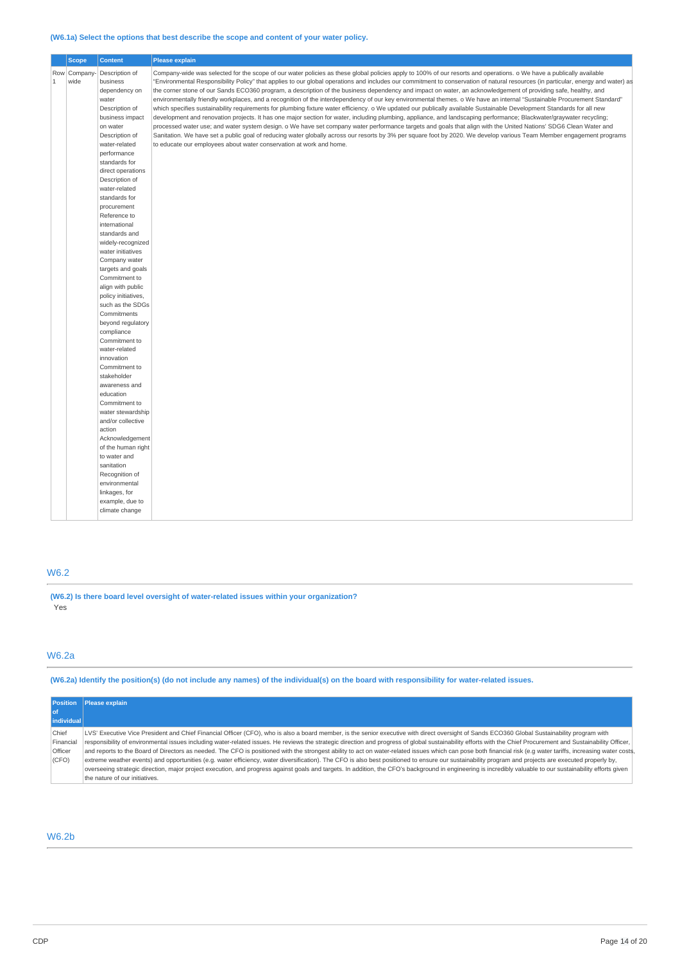## **(W6.1a) Select the options that best describe the scope and content of your water policy.**

|             | <b>Scope</b>        | <b>Content</b>                                                                                                                                                                                                                                                                                                                                                                                                                                                                                                                        | <b>Please explain</b>                                                                                                                                                                                                                                                                                                                                                                                                                                                                                                                                                                                                                                                                                                                                                                                                                                                                                                                                                                                                                                                                                                                                                                                                                                                                                                                                                                                                                                                        |  |  |
|-------------|---------------------|---------------------------------------------------------------------------------------------------------------------------------------------------------------------------------------------------------------------------------------------------------------------------------------------------------------------------------------------------------------------------------------------------------------------------------------------------------------------------------------------------------------------------------------|------------------------------------------------------------------------------------------------------------------------------------------------------------------------------------------------------------------------------------------------------------------------------------------------------------------------------------------------------------------------------------------------------------------------------------------------------------------------------------------------------------------------------------------------------------------------------------------------------------------------------------------------------------------------------------------------------------------------------------------------------------------------------------------------------------------------------------------------------------------------------------------------------------------------------------------------------------------------------------------------------------------------------------------------------------------------------------------------------------------------------------------------------------------------------------------------------------------------------------------------------------------------------------------------------------------------------------------------------------------------------------------------------------------------------------------------------------------------------|--|--|
| $\mathbf 1$ | Row Company<br>wide | Description of<br>business<br>dependency on<br>water<br>Description of<br>business impact<br>on water<br>Description of<br>water-related<br>performance<br>standards for<br>direct operations<br>Description of<br>water-related<br>standards for<br>procurement<br>Reference to<br>international<br>standards and<br>widely-recognized<br>water initiatives<br>Company water<br>targets and goals<br>Commitment to<br>align with public<br>policy initiatives,<br>such as the SDGs<br>Commitments<br>beyond regulatory<br>compliance | Company-wide was selected for the scope of our water policies as these global policies apply to 100% of our resorts and operations. o We have a publically available<br>"Environmental Responsibility Policy" that applies to our global operations and includes our commitment to conservation of natural resources (in particular, energy and water) as<br>the corner stone of our Sands ECO360 program, a description of the business dependency and impact on water, an acknowledgement of providing safe, healthy, and<br>environmentally friendly workplaces, and a recognition of the interdependency of our key environmental themes. o We have an internal "Sustainable Procurement Standard"<br>which specifies sustainability requirements for plumbing fixture water efficiency. o We updated our publically available Sustainable Development Standards for all new<br>development and renovation projects. It has one major section for water, including plumbing, appliance, and landscaping performance; Blackwater/graywater recycling;<br>processed water use; and water system design. o We have set company water performance targets and goals that align with the United Nations' SDG6 Clean Water and<br>Sanitation. We have set a public goal of reducing water globally across our resorts by 3% per square foot by 2020. We develop various Team Member engagement programs<br>to educate our employees about water conservation at work and home. |  |  |
|             |                     | Commitment to<br>water-related                                                                                                                                                                                                                                                                                                                                                                                                                                                                                                        |                                                                                                                                                                                                                                                                                                                                                                                                                                                                                                                                                                                                                                                                                                                                                                                                                                                                                                                                                                                                                                                                                                                                                                                                                                                                                                                                                                                                                                                                              |  |  |
|             |                     | innovation<br>Commitment to<br>stakeholder<br>awareness and<br>education<br>Commitment to<br>water stewardship<br>and/or collective<br>action                                                                                                                                                                                                                                                                                                                                                                                         |                                                                                                                                                                                                                                                                                                                                                                                                                                                                                                                                                                                                                                                                                                                                                                                                                                                                                                                                                                                                                                                                                                                                                                                                                                                                                                                                                                                                                                                                              |  |  |
|             |                     | Acknowledgement<br>of the human right<br>to water and<br>sanitation<br>Recognition of<br>environmental<br>linkages, for<br>example, due to<br>climate change                                                                                                                                                                                                                                                                                                                                                                          |                                                                                                                                                                                                                                                                                                                                                                                                                                                                                                                                                                                                                                                                                                                                                                                                                                                                                                                                                                                                                                                                                                                                                                                                                                                                                                                                                                                                                                                                              |  |  |

# W6.2

**(W6.2) Is there board level oversight of water-related issues within your organization?** Yes

# W6.2a

(W6.2a) Identify the position(s) (do not include any names) of the individual(s) on the board with responsibility for water-related issues.

| <b>Position</b> | <b>Please explain</b>                                                                                                                                                                                           |  |  |  |
|-----------------|-----------------------------------------------------------------------------------------------------------------------------------------------------------------------------------------------------------------|--|--|--|
| l of            |                                                                                                                                                                                                                 |  |  |  |
| individual      |                                                                                                                                                                                                                 |  |  |  |
| Chief           | LVS' Executive Vice President and Chief Financial Officer (CFO), who is also a board member, is the senior executive with direct oversight of Sands ECO360 Global Sustainability program with                   |  |  |  |
| Financial       | responsibility of environmental issues including water-related issues. He reviews the strategic direction and progress of global sustainability efforts with the Chief Procurement and Sustainability Officer,  |  |  |  |
| <b>Officer</b>  | and reports to the Board of Directors as needed. The CFO is positioned with the strongest ability to act on water-related issues which can pose both financial risk (e.g water tariffs, increasing water costs, |  |  |  |
| (CFO)           | extreme weather events) and opportunities (e.g. water efficiency, water diversification). The CFO is also best positioned to ensure our sustainability program and projects are executed properly by,           |  |  |  |
|                 | overseeing strategic direction, major project execution, and progress against goals and targets. In addition, the CFO's background in engineering is incredibly valuable to our sustainability efforts given    |  |  |  |
|                 | the nature of our initiatives.                                                                                                                                                                                  |  |  |  |

# W6.2b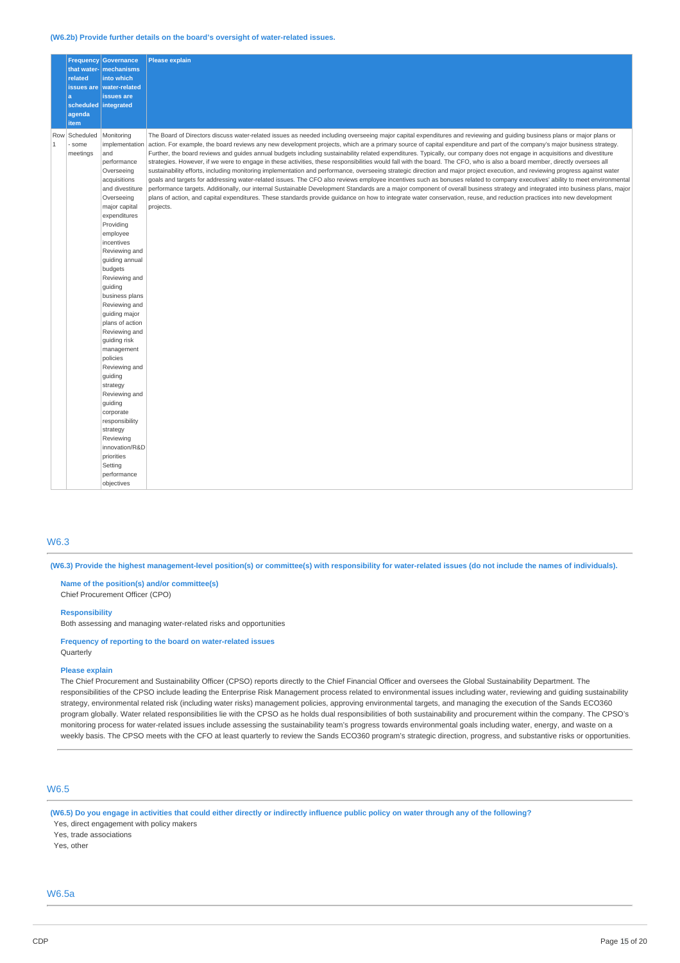#### **(W6.2b) Provide further details on the board's oversight of water-related issues.**

|                     | related<br>a<br>agenda<br>item | <b>Frequency Governance</b><br>that water- mechanisms<br>into which<br>issues are   water-related<br>issues are<br>scheduled integrated                                                                                                                                                                                                                                                                                                                                                                                                                                                                   | <b>Please explain</b>                                                                                                                                                                                                                                                                                                                                                                                                                                                                                                                                                                                                                                                                                                                                                                                                                                                                                                                                                                                                                                                                                                                                                                                                                                                                                                                                                                                                                                         |
|---------------------|--------------------------------|-----------------------------------------------------------------------------------------------------------------------------------------------------------------------------------------------------------------------------------------------------------------------------------------------------------------------------------------------------------------------------------------------------------------------------------------------------------------------------------------------------------------------------------------------------------------------------------------------------------|---------------------------------------------------------------------------------------------------------------------------------------------------------------------------------------------------------------------------------------------------------------------------------------------------------------------------------------------------------------------------------------------------------------------------------------------------------------------------------------------------------------------------------------------------------------------------------------------------------------------------------------------------------------------------------------------------------------------------------------------------------------------------------------------------------------------------------------------------------------------------------------------------------------------------------------------------------------------------------------------------------------------------------------------------------------------------------------------------------------------------------------------------------------------------------------------------------------------------------------------------------------------------------------------------------------------------------------------------------------------------------------------------------------------------------------------------------------|
| Row<br>$\mathbf{1}$ | Scheduled<br>some<br>meetings  | Monitoring<br>implementation<br>and<br>performance<br>Overseeing<br>acquisitions<br>and divestiture<br>Overseeing<br>major capital<br>expenditures<br>Providing<br>employee<br>incentives<br>Reviewing and<br>guiding annual<br>budgets<br>Reviewing and<br>guiding<br>business plans<br>Reviewing and<br>guiding major<br>plans of action<br>Reviewing and<br>quiding risk<br>management<br>policies<br>Reviewing and<br>guiding<br>strategy<br>Reviewing and<br>quiding<br>corporate<br>responsibility<br>strategy<br>Reviewing<br>innovation/R&D<br>priorities<br>Setting<br>performance<br>objectives | The Board of Directors discuss water-related issues as needed including overseeing major capital expenditures and reviewing and guiding business plans or major plans or<br>action. For example, the board reviews any new development projects, which are a primary source of capital expenditure and part of the company's major business strategy.<br>Further, the board reviews and quides annual budgets including sustainability related expenditures. Typically, our company does not engage in acquisitions and divestiture<br>strategies. However, if we were to engage in these activities, these responsibilities would fall with the board. The CFO, who is also a board member, directly oversees all<br>sustainability efforts, including monitoring implementation and performance, overseeing strategic direction and major project execution, and reviewing progress against water<br>goals and targets for addressing water-related issues. The CFO also reviews employee incentives such as bonuses related to company executives' ability to meet environmental<br>performance targets. Additionally, our internal Sustainable Development Standards are a major component of overall business strategy and integrated into business plans, major<br>plans of action, and capital expenditures. These standards provide guidance on how to integrate water conservation, reuse, and reduction practices into new development<br>projects. |

### W6.3

(W6.3) Provide the highest management-level position(s) or committee(s) with responsibility for water-related issues (do not include the names of individuals).

**Name of the position(s) and/or committee(s)** Chief Procurement Officer (CPO)

#### **Responsibility**

Both assessing and managing water-related risks and opportunities

**Frequency of reporting to the board on water-related issues** Quarterly

#### **Please explain**

The Chief Procurement and Sustainability Officer (CPSO) reports directly to the Chief Financial Officer and oversees the Global Sustainability Department. The responsibilities of the CPSO include leading the Enterprise Risk Management process related to environmental issues including water, reviewing and guiding sustainability strategy, environmental related risk (including water risks) management policies, approving environmental targets, and managing the execution of the Sands ECO360 program globally. Water related responsibilities lie with the CPSO as he holds dual responsibilities of both sustainability and procurement within the company. The CPSO's monitoring process for water-related issues include assessing the sustainability team's progress towards environmental goals including water, energy, and waste on a weekly basis. The CPSO meets with the CFO at least quarterly to review the Sands ECO360 program's strategic direction, progress, and substantive risks or opportunities.

### W6.5

(W6.5) Do you engage in activities that could either directly or indirectly influence public policy on water through any of the following?

Yes, direct engagement with policy makers Yes, trade associations

Yes, other

## W6.5a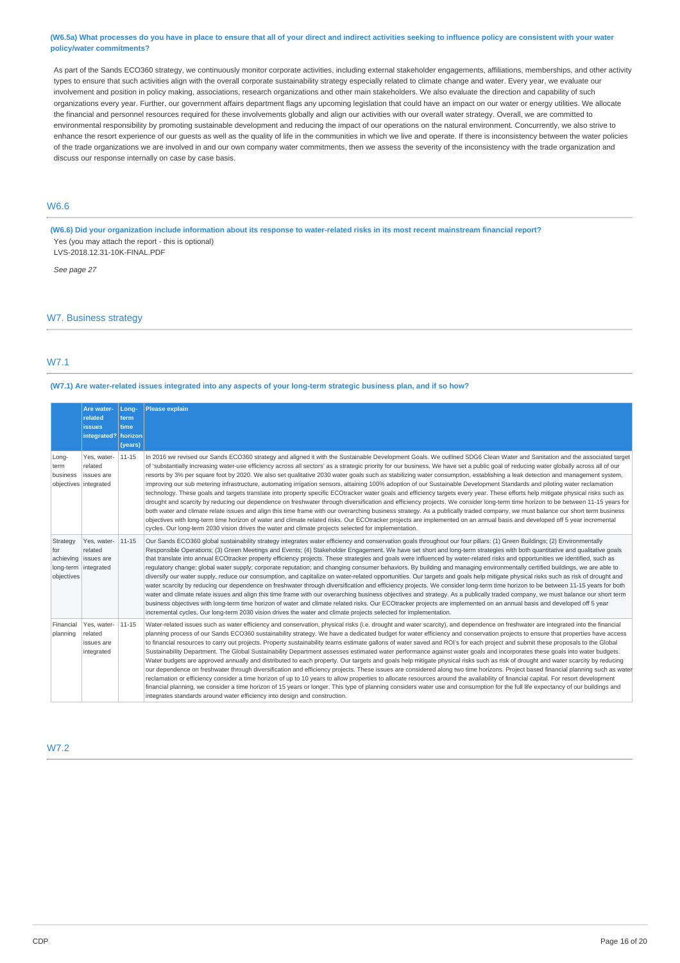#### (W6.5a) What processes do you have in place to ensure that all of your direct and indirect activities seeking to influence policy are consistent with your water **policy/water commitments?**

As part of the Sands ECO360 strategy, we continuously monitor corporate activities, including external stakeholder engagements, affiliations, memberships, and other activity types to ensure that such activities align with the overall corporate sustainability strategy especially related to climate change and water. Every year, we evaluate our involvement and position in policy making, associations, research organizations and other main stakeholders. We also evaluate the direction and capability of such organizations every year. Further, our government affairs department flags any upcoming legislation that could have an impact on our water or energy utilities. We allocate the financial and personnel resources required for these involvements globally and align our activities with our overall water strategy. Overall, we are committed to environmental responsibility by promoting sustainable development and reducing the impact of our operations on the natural environment. Concurrently, we also strive to enhance the resort experience of our quests as well as the quality of life in the communities in which we live and operate. If there is inconsistency between the water policies of the trade organizations we are involved in and our own company water commitments, then we assess the severity of the inconsistency with the trade organization and discuss our response internally on case by case basis.

# W6.6

(W6.6) Did your organization include information about its response to water-related risks in its most recent mainstream financial report? Yes (you may attach the report - this is optional) LVS-2018.12.31-10K-FINAL.PDF

*See page 27*

### W7. Business strategy

### W7.1

#### (W7.1) Are water-related issues integrated into any aspects of your long-term strategic business plan, and if so how?

|                                                                               | Are water-<br>related<br><b>issues</b><br>integrated? horizon | Long-<br>term<br>time<br>(years) | <b>Please explain</b>                                                                                                                                                                                                                                                                                                                                                                                                                                                                                                                                                                                                                                                                                                                                                                                                                                                                                                                                                                                                                                                                                                                                                                                                                                                                                                                                                                                                                                                                                                                                                            |
|-------------------------------------------------------------------------------|---------------------------------------------------------------|----------------------------------|----------------------------------------------------------------------------------------------------------------------------------------------------------------------------------------------------------------------------------------------------------------------------------------------------------------------------------------------------------------------------------------------------------------------------------------------------------------------------------------------------------------------------------------------------------------------------------------------------------------------------------------------------------------------------------------------------------------------------------------------------------------------------------------------------------------------------------------------------------------------------------------------------------------------------------------------------------------------------------------------------------------------------------------------------------------------------------------------------------------------------------------------------------------------------------------------------------------------------------------------------------------------------------------------------------------------------------------------------------------------------------------------------------------------------------------------------------------------------------------------------------------------------------------------------------------------------------|
| Long-<br>term<br>business<br>objectives integrated                            | Yes, water-<br>related<br>issues are                          | 11-15                            | In 2016 we revised our Sands ECO360 strategy and aligned it with the Sustainable Development Goals. We outlined SDG6 Clean Water and Sanitation and the associated target<br>of 'substantially increasing water-use efficiency across all sectors' as a strategic priority for our business. We have set a public goal of reducing water globally across all of our<br>resorts by 3% per square foot by 2020. We also set qualitative 2030 water goals such as stabilizing water consumption, establishing a leak detection and management system,<br>improving our sub metering infrastructure, automating irrigation sensors, attaining 100% adoption of our Sustainable Development Standards and piloting water reclamation<br>technology. These goals and targets translate into property specific ECOtracker water goals and efficiency targets every year. These efforts help mitigate physical risks such as<br>drought and scarcity by reducing our dependence on freshwater through diversification and efficiency projects. We consider long-term time horizon to be between 11-15 years for<br>both water and climate relate issues and align this time frame with our overarching business strategy. As a publically traded company, we must balance our short term business<br>objectives with long-term time horizon of water and climate related risks. Our ECOtracker projects are implemented on an annual basis and developed off 5 year incremental<br>cycles. Our long-term 2030 vision drives the water and climate projects selected for implementation.  |
| Strategy<br>for<br>achieving issues are<br>long-term integrated<br>objectives | Yes, water-<br>related                                        | 11-15                            | Our Sands ECO360 global sustainability strategy integrates water efficiency and conservation goals throughout our four pillars: (1) Green Buildings; (2) Environmentally<br>Responsible Operations; (3) Green Meetings and Events; (4) Stakeholder Engagement. We have set short and long-term strategies with both quantitative and qualitative goals<br>that translate into annual ECOtracker property efficiency projects. These strategies and goals were influenced by water-related risks and opportunities we identified, such as<br>regulatory change; global water supply; corporate reputation; and changing consumer behaviors. By building and managing environmentally certified buildings, we are able to<br>diversify our water supply, reduce our consumption, and capitalize on water-related opportunities. Our targets and goals help mitigate physical risks such as risk of drought and<br>water scarcity by reducing our dependence on freshwater through diversification and efficiency projects. We consider long-term time horizon to be between 11-15 years for both<br>water and climate relate issues and align this time frame with our overarching business objectives and strategy. As a publically traded company, we must balance our short term<br>business objectives with long-term time horizon of water and climate related risks. Our ECOtracker projects are implemented on an annual basis and developed off 5 year<br>incremental cycles. Our long-term 2030 vision drives the water and climate projects selected for implementation. |
| Financial<br>planning                                                         | Yes, water-<br>related<br>issues are<br>integrated            | 11-15                            | Water-related issues such as water efficiency and conservation, physical risks (i.e. drought and water scarcity), and dependence on freshwater are integrated into the financial<br>planning process of our Sands ECO360 sustainability strategy. We have a dedicated budget for water efficiency and conservation projects to ensure that properties have access<br>to financial resources to carry out projects. Property sustainability teams estimate gallons of water saved and ROI's for each project and submit these proposals to the Global<br>Sustainability Department. The Global Sustainability Department assesses estimated water performance against water goals and incorporates these goals into water budgets.<br>Water budgets are approved annually and distributed to each property. Our targets and goals help mitigate physical risks such as risk of drought and water scarcity by reducing<br>our dependence on freshwater through diversification and efficiency projects. These issues are considered along two time horizons. Project based financial planning such as water<br>reclamation or efficiency consider a time horizon of up to 10 years to allow properties to allocate resources around the availability of financial capital. For resort development<br>financial planning, we consider a time horizon of 15 years or longer. This type of planning considers water use and consumption for the full life expectancy of our buildings and<br>integrates standards around water efficiency into design and construction.               |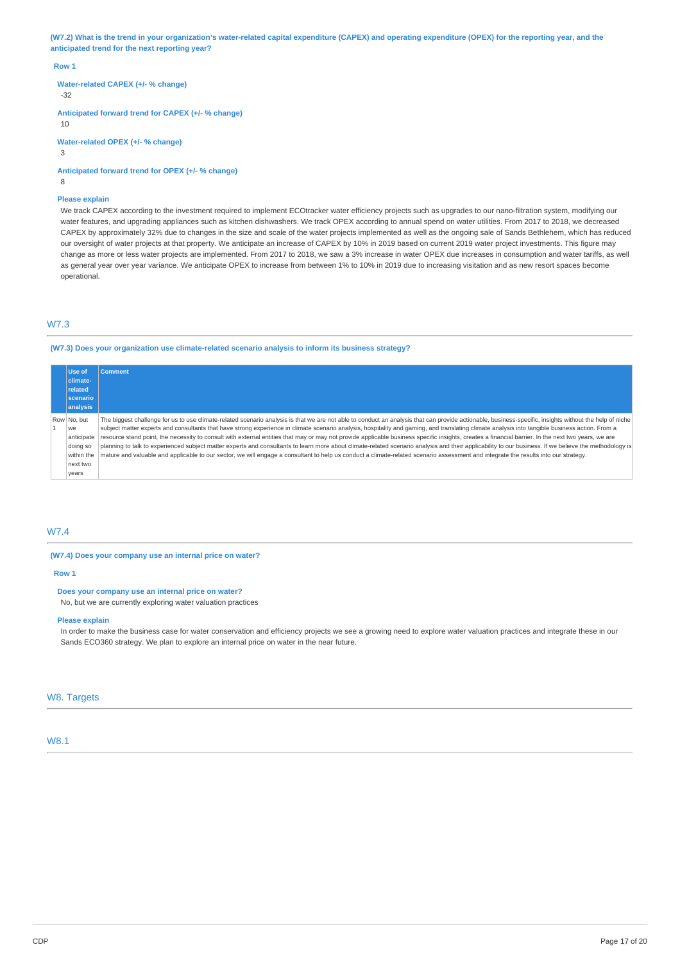(W7.2) What is the trend in your organization's water-related capital expenditure (CAPEX) and operating expenditure (OPEX) for the reporting year, and the **anticipated trend for the next reporting year?**

#### **Row 1**

**Water-related CAPEX (+/- % change)**

-32

**Anticipated forward trend for CAPEX (+/- % change)**

10

**Water-related OPEX (+/- % change)**

 $\overline{3}$ 

**Anticipated forward trend for OPEX (+/- % change)** 8

#### **Please explain**

We track CAPEX according to the investment required to implement ECOtracker water efficiency projects such as upgrades to our nano-filtration system, modifying our water features, and upgrading appliances such as kitchen dishwashers. We track OPEX according to annual spend on water utilities. From 2017 to 2018, we decreased CAPEX by approximately 32% due to changes in the size and scale of the water projects implemented as well as the ongoing sale of Sands Bethlehem, which has reduced our oversight of water projects at that property. We anticipate an increase of CAPEX by 10% in 2019 based on current 2019 water project investments. This figure may change as more or less water projects are implemented. From 2017 to 2018, we saw a 3% increase in water OPEX due increases in consumption and water tariffs, as well as general year over year variance. We anticipate OPEX to increase from between 1% to 10% in 2019 due to increasing visitation and as new resort spaces become operational.

### W7.3

### **(W7.3) Does your organization use climate-related scenario analysis to inform its business strategy?**

| Use of<br>climate- | <b>Comment</b>                                                                                                                                                                                          |
|--------------------|---------------------------------------------------------------------------------------------------------------------------------------------------------------------------------------------------------|
| related            |                                                                                                                                                                                                         |
| scenario           |                                                                                                                                                                                                         |
| analysis           |                                                                                                                                                                                                         |
| Row No. but        | The biggest challenge for us to use climate-related scenario analysis is that we are not able to conduct an analysis that can provide actionable, business-specific, insights without the help of niche |
| we                 | subject matter experts and consultants that have strong experience in climate scenario analysis, hospitality and gaming, and translating climate analysis into tangible business action. From a         |
| anticipate         | resource stand point, the necessity to consult with external entities that may or may not provide applicable business specific insights, creates a financial barrier. In the next two years, we are     |
| doing so           | planning to talk to experienced subject matter experts and consultants to learn more about climate-related scenario analysis and their applicability to our business. If we believe the methodology is  |
| within the         | mature and valuable and applicable to our sector, we will engage a consultant to help us conduct a climate-related scenario assessment and integrate the results into our strategy.                     |
| next two           |                                                                                                                                                                                                         |
| years              |                                                                                                                                                                                                         |

# W7.4

### **(W7.4) Does your company use an internal price on water?**

#### **Row 1**

#### **Does your company use an internal price on water?**

No, but we are currently exploring water valuation practices

### **Please explain**

In order to make the business case for water conservation and efficiency projects we see a growing need to explore water valuation practices and integrate these in our Sands ECO360 strategy. We plan to explore an internal price on water in the near future.

### W8. Targets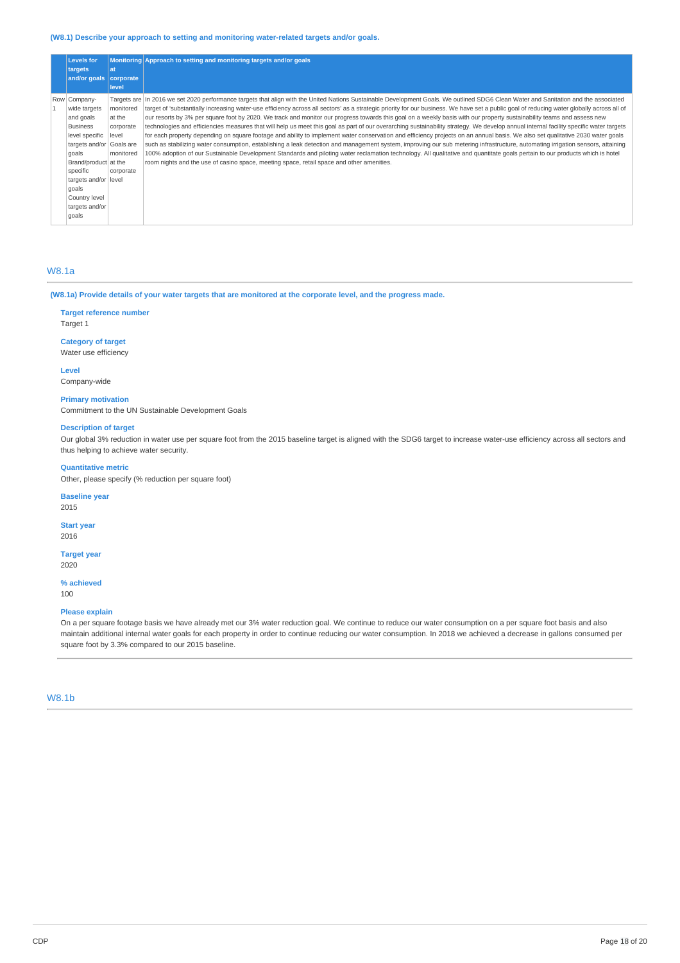### **(W8.1) Describe your approach to setting and monitoring water-related targets and/or goals.**

| <b>Levels for</b><br>targets<br>and/or goals   corporate                                                                                                                                                                   | lat<br>level                                                                     | Monitoring Approach to setting and monitoring targets and/or goals                                                                                                                                                                                                                                                                                                                                                                                                                                                                                                                                                                                                                                                                                                                                                                                                                                                                                                                                                                                                                                                                                                                                                                                                                                                                                                                                        |
|----------------------------------------------------------------------------------------------------------------------------------------------------------------------------------------------------------------------------|----------------------------------------------------------------------------------|-----------------------------------------------------------------------------------------------------------------------------------------------------------------------------------------------------------------------------------------------------------------------------------------------------------------------------------------------------------------------------------------------------------------------------------------------------------------------------------------------------------------------------------------------------------------------------------------------------------------------------------------------------------------------------------------------------------------------------------------------------------------------------------------------------------------------------------------------------------------------------------------------------------------------------------------------------------------------------------------------------------------------------------------------------------------------------------------------------------------------------------------------------------------------------------------------------------------------------------------------------------------------------------------------------------------------------------------------------------------------------------------------------------|
| Row Company-<br>wide targets<br>and goals<br><b>Business</b><br>level specific<br>targets and/or<br>qoals<br>Brand/product at the<br>specific<br>targets and/or level<br>goals<br>Country level<br>targets and/or<br>qoals | monitored<br>at the<br>corporate<br>level<br>Goals are<br>monitored<br>corporate | Targets are  In 2016 we set 2020 performance targets that align with the United Nations Sustainable Development Goals. We outlined SDG6 Clean Water and Sanitation and the associated<br>target of 'substantially increasing water-use efficiency across all sectors' as a strategic priority for our business. We have set a public goal of reducing water globally across all of<br>our resorts by 3% per square foot by 2020. We track and monitor our progress towards this goal on a weekly basis with our property sustainability teams and assess new<br>technologies and efficiencies measures that will help us meet this goal as part of our overarching sustainability strategy. We develop annual internal facility specific water targets<br>for each property depending on square footage and ability to implement water conservation and efficiency projects on an annual basis. We also set qualitative 2030 water goals<br>such as stabilizing water consumption, establishing a leak detection and management system, improving our sub metering infrastructure, automating irrigation sensors, attaining<br>100% adoption of our Sustainable Development Standards and piloting water reclamation technology. All qualitative and quantitate goals pertain to our products which is hotel<br>room nights and the use of casino space, meeting space, retail space and other amenities. |

# W8.1a

(W8.1a) Provide details of your water targets that are monitored at the corporate level, and the progress made.

# **Target reference number**

Target 1

## **Category of target**

Water use efficiency

**Level** Company-wide

**Primary motivation** Commitment to the UN Sustainable Development Goals

### **Description of target**

Our global 3% reduction in water use per square foot from the 2015 baseline target is aligned with the SDG6 target to increase water-use efficiency across all sectors and thus helping to achieve water security.

### **Quantitative metric**

Other, please specify (% reduction per square foot)

## **Baseline year**

2015

**Start year** 2016

#### **Target year** 2020

**% achieved**

100

#### **Please explain**

On a per square footage basis we have already met our 3% water reduction goal. We continue to reduce our water consumption on a per square foot basis and also maintain additional internal water goals for each property in order to continue reducing our water consumption. In 2018 we achieved a decrease in gallons consumed per square foot by 3.3% compared to our 2015 baseline.

# W8.1b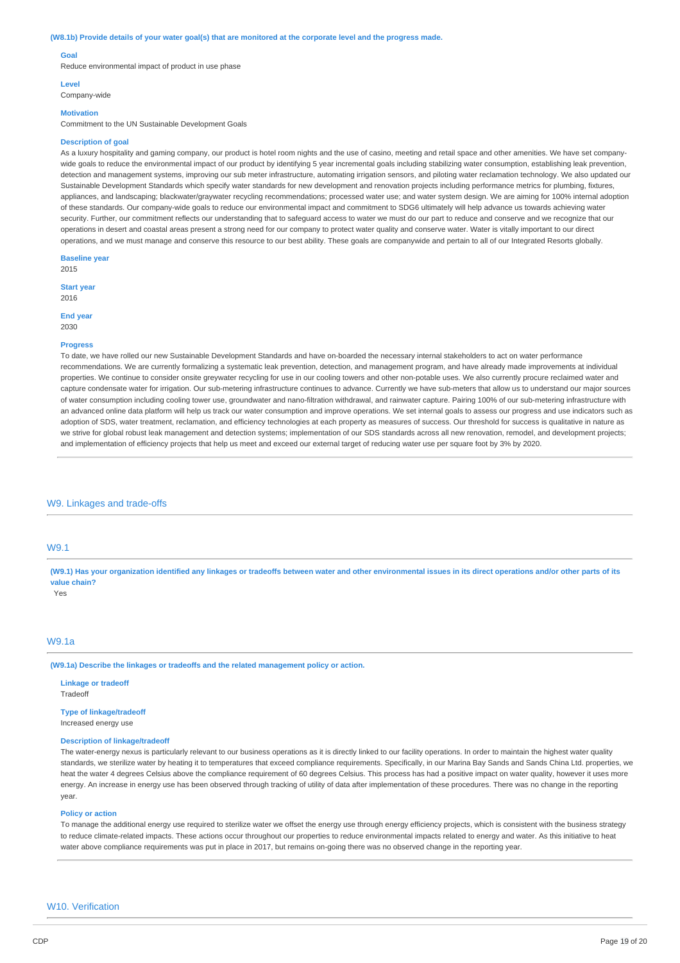#### (W8.1b) Provide details of your water goal(s) that are monitored at the corporate level and the progress made.

#### **Goal**

Reduce environmental impact of product in use phase

#### **Level**

Company-wide

# **Motivation**

Commitment to the UN Sustainable Development Goals

#### **Description of goal**

As a luxury hospitality and gaming company, our product is hotel room nights and the use of casino, meeting and retail space and other amenities. We have set companywide goals to reduce the environmental impact of our product by identifying 5 year incremental goals including stabilizing water consumption, establishing leak prevention, detection and management systems, improving our sub meter infrastructure, automating irrigation sensors, and piloting water reclamation technology. We also updated our Sustainable Development Standards which specify water standards for new development and renovation projects including performance metrics for plumbing, fixtures appliances, and landscaping; blackwater/graywater recycling recommendations; processed water use; and water system design. We are aiming for 100% internal adoption of these standards. Our company-wide goals to reduce our environmental impact and commitment to SDG6 ultimately will help advance us towards achieving water security. Further, our commitment reflects our understanding that to safeguard access to water we must do our part to reduce and conserve and we recognize that our operations in desert and coastal areas present a strong need for our company to protect water quality and conserve water. Water is vitally important to our direct operations, and we must manage and conserve this resource to our best ability. These goals are companywide and pertain to all of our Integrated Resorts globally.

**Baseline year**

2015

**Start year** 2016

#### **End year**

2030

#### **Progress**

To date, we have rolled our new Sustainable Development Standards and have on-boarded the necessary internal stakeholders to act on water performance recommendations. We are currently formalizing a systematic leak prevention, detection, and management program, and have already made improvements at individual properties. We continue to consider onsite greywater recycling for use in our cooling towers and other non-potable uses. We also currently procure reclaimed water and capture condensate water for irrigation. Our sub-metering infrastructure continues to advance. Currently we have sub-meters that allow us to understand our major sources of water consumption including cooling tower use, groundwater and nano-filtration withdrawal, and rainwater capture. Pairing 100% of our sub-metering infrastructure with an advanced online data platform will help us track our water consumption and improve operations. We set internal goals to assess our progress and use indicators such as adoption of SDS, water treatment, reclamation, and efficiency technologies at each property as measures of success. Our threshold for success is qualitative in nature as we strive for global robust leak management and detection systems; implementation of our SDS standards across all new renovation, remodel, and development projects; and implementation of efficiency projects that help us meet and exceed our external target of reducing water use per square foot by 3% by 2020.

#### W9. Linkages and trade-offs

# W9.1

(W9.1) Has your organization identified any linkages or tradeoffs between water and other environmental issues in its direct operations and/or other parts of its **value chain?** Yes

#### W9.1a

**(W9.1a) Describe the linkages or tradeoffs and the related management policy or action.**

**Linkage or tradeoff** Tradeoff

# **Type of linkage/tradeoff**

Increased energy use

### **Description of linkage/tradeoff**

The water-energy nexus is particularly relevant to our business operations as it is directly linked to our facility operations. In order to maintain the highest water quality standards, we sterilize water by heating it to temperatures that exceed compliance requirements. Specifically, in our Marina Bay Sands and Sands China Ltd. properties, we heat the water 4 degrees Celsius above the compliance requirement of 60 degrees Celsius. This process has had a positive impact on water quality, however it uses more energy. An increase in energy use has been observed through tracking of utility of data after implementation of these procedures. There was no change in the reporting year.

#### **Policy or action**

To manage the additional energy use required to sterilize water we offset the energy use through energy efficiency projects, which is consistent with the business strategy to reduce climate-related impacts. These actions occur throughout our properties to reduce environmental impacts related to energy and water. As this initiative to heat water above compliance requirements was put in place in 2017, but remains on-going there was no observed change in the reporting year.